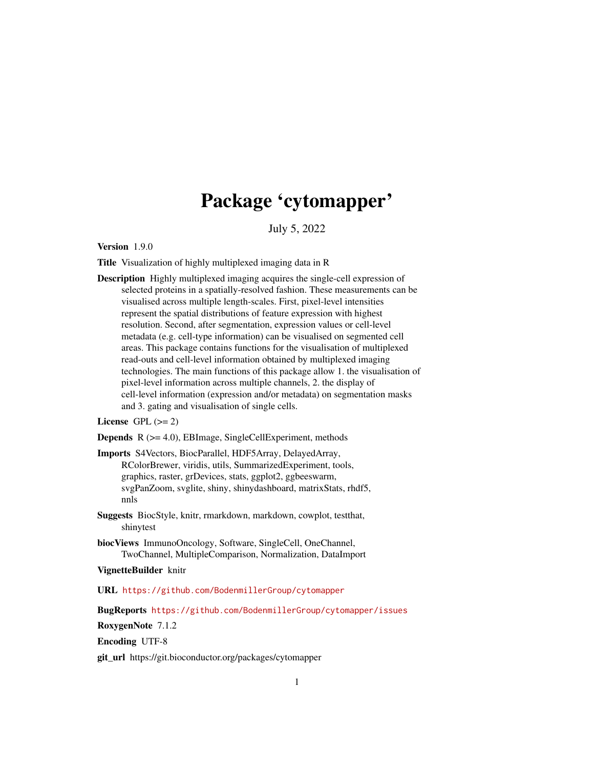## Package 'cytomapper'

July 5, 2022

<span id="page-0-0"></span>Version 1.9.0

Title Visualization of highly multiplexed imaging data in R

Description Highly multiplexed imaging acquires the single-cell expression of selected proteins in a spatially-resolved fashion. These measurements can be visualised across multiple length-scales. First, pixel-level intensities represent the spatial distributions of feature expression with highest resolution. Second, after segmentation, expression values or cell-level metadata (e.g. cell-type information) can be visualised on segmented cell areas. This package contains functions for the visualisation of multiplexed read-outs and cell-level information obtained by multiplexed imaging technologies. The main functions of this package allow 1. the visualisation of pixel-level information across multiple channels, 2. the display of cell-level information (expression and/or metadata) on segmentation masks and 3. gating and visualisation of single cells.

## License GPL  $(>= 2)$

Depends R (>= 4.0), EBImage, SingleCellExperiment, methods

Imports S4Vectors, BiocParallel, HDF5Array, DelayedArray, RColorBrewer, viridis, utils, SummarizedExperiment, tools, graphics, raster, grDevices, stats, ggplot2, ggbeeswarm, svgPanZoom, svglite, shiny, shinydashboard, matrixStats, rhdf5, nnls

Suggests BiocStyle, knitr, rmarkdown, markdown, cowplot, testthat, shinytest

biocViews ImmunoOncology, Software, SingleCell, OneChannel, TwoChannel, MultipleComparison, Normalization, DataImport

#### VignetteBuilder knitr

URL <https://github.com/BodenmillerGroup/cytomapper>

BugReports <https://github.com/BodenmillerGroup/cytomapper/issues>

RoxygenNote 7.1.2

Encoding UTF-8

git\_url https://git.bioconductor.org/packages/cytomapper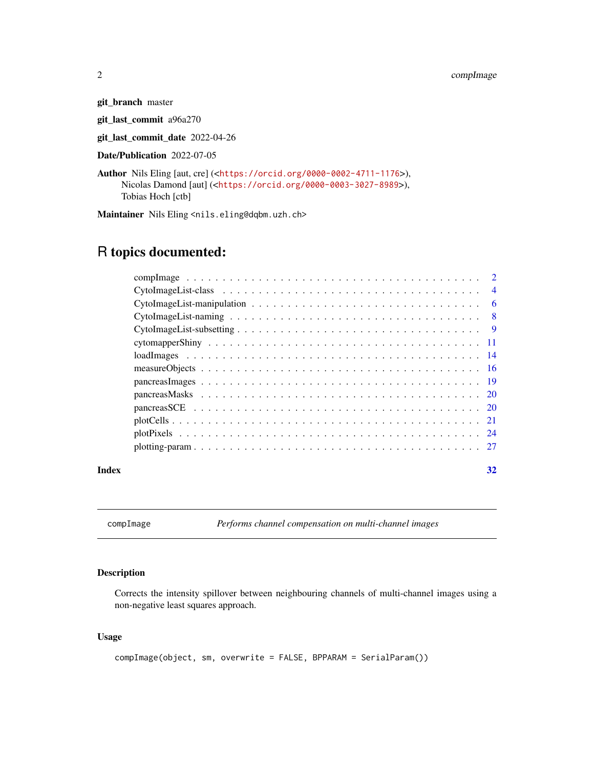git\_branch master

git\_last\_commit a96a270

git\_last\_commit\_date 2022-04-26

Date/Publication 2022-07-05

```
Author Nils Eling [aut, cre] (<https://orcid.org/0000-0002-4711-1176>),
     Nicolas Damond [aut] (<https://orcid.org/0000-0003-3027-8989>),
     Tobias Hoch [ctb]
```
Maintainer Nils Eling <nils.eling@dqbm.uzh.ch>

## R topics documented:

| $\overline{4}$ |
|----------------|
| - 6            |
|                |
|                |
|                |
|                |
|                |
|                |
|                |
|                |
|                |
|                |
|                |
|                |

#### **Index** [32](#page-31-0)

compImage *Performs channel compensation on multi-channel images*

## Description

Corrects the intensity spillover between neighbouring channels of multi-channel images using a non-negative least squares approach.

## Usage

```
compImage(object, sm, overwrite = FALSE, BPPARAM = SerialParam())
```
<span id="page-1-0"></span>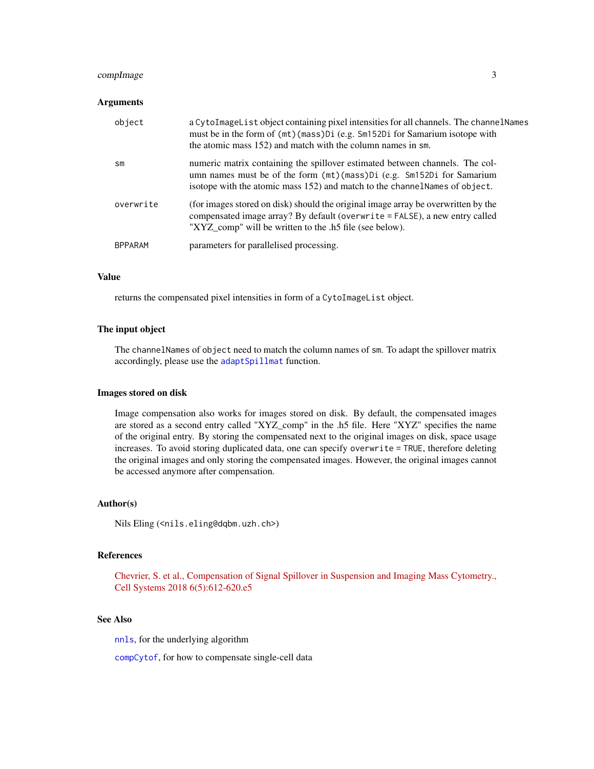## <span id="page-2-0"></span>compImage 3

#### Arguments

| object         | a CytoImageList object containing pixel intensities for all channels. The channelNames<br>must be in the form of (mt) (mass) Di (e.g. Sm152Di for Samarium isotope with<br>the atomic mass 152) and match with the column names in sm. |
|----------------|----------------------------------------------------------------------------------------------------------------------------------------------------------------------------------------------------------------------------------------|
| sm             | numeric matrix containing the spillover estimated between channels. The col-<br>umn names must be of the form (mt) (mass) Di (e.g. Sm152Di for Samarium<br>isotope with the atomic mass 152) and match to the channel Names of object. |
| overwrite      | (for images stored on disk) should the original image array be overwritten by the<br>compensated image array? By default (overwrite = FALSE), a new entry called<br>"XYZ_comp" will be written to the .h5 file (see below).            |
| <b>BPPARAM</b> | parameters for parallelised processing.                                                                                                                                                                                                |

## Value

returns the compensated pixel intensities in form of a CytoImageList object.

#### The input object

The channelNames of object need to match the column names of sm. To adapt the spillover matrix accordingly, please use the [adaptSpillmat](#page-0-0) function.

#### Images stored on disk

Image compensation also works for images stored on disk. By default, the compensated images are stored as a second entry called "XYZ\_comp" in the .h5 file. Here "XYZ" specifies the name of the original entry. By storing the compensated next to the original images on disk, space usage increases. To avoid storing duplicated data, one can specify overwrite = TRUE, therefore deleting the original images and only storing the compensated images. However, the original images cannot be accessed anymore after compensation.

#### Author(s)

Nils Eling (<nils.eling@dqbm.uzh.ch>)

## References

[Chevrier, S. et al., Compensation of Signal Spillover in Suspension and Imaging Mass Cytometry.,](https://www.sciencedirect.com/science/article/pii/S2405471217305434) [Cell Systems 2018 6\(5\):612-620.e5](https://www.sciencedirect.com/science/article/pii/S2405471217305434)

## See Also

[nnls](#page-0-0), for the underlying algorithm

[compCytof](#page-0-0), for how to compensate single-cell data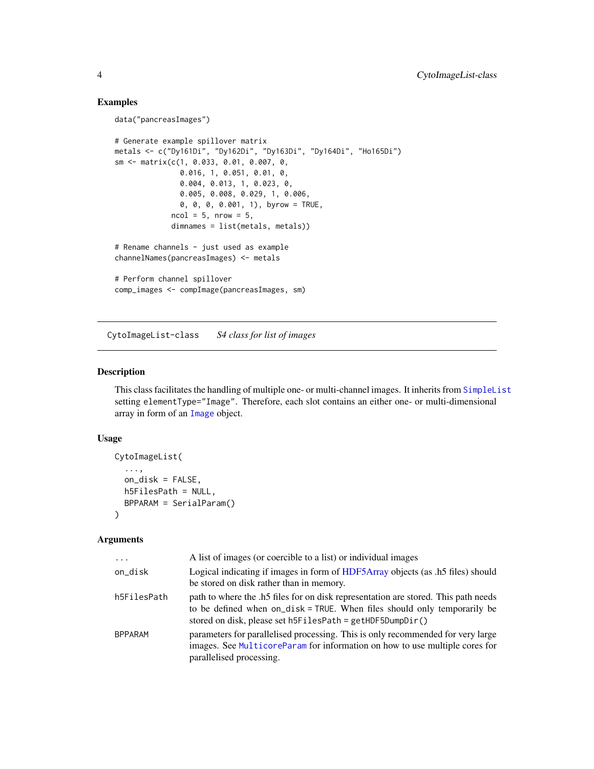## Examples

```
data("pancreasImages")
# Generate example spillover matrix
metals <- c("Dy161Di", "Dy162Di", "Dy163Di", "Dy164Di", "Ho165Di")
sm <- matrix(c(1, 0.033, 0.01, 0.007, 0,
               0.016, 1, 0.051, 0.01, 0,
               0.004, 0.013, 1, 0.023, 0,
               0.005, 0.008, 0.029, 1, 0.006,
               0, 0, 0, 0.001, 1), byrow = TRUE,
             ncol = 5, nrow = 5,
             dimnames = list(metals, metals))
# Rename channels - just used as example
channelNames(pancreasImages) <- metals
# Perform channel spillover
comp_images <- compImage(pancreasImages, sm)
```
<span id="page-3-1"></span>CytoImageList-class *S4 class for list of images*

## Description

This class facilitates the handling of multiple one- or multi-channel images. It inherits from [SimpleList](#page-0-0) setting elementType="Image". Therefore, each slot contains an either one- or multi-dimensional array in form of an [Image](#page-0-0) object.

#### Usage

```
CytoImageList(
  ...,
  on_disk = FALSE,
  h5FilesPath = NULL,
  BPPARAM = SerialParam()
\lambda
```
## Arguments

| $\cdot$        | A list of images (or coercible to a list) or individual images                                                                                                                                                              |
|----------------|-----------------------------------------------------------------------------------------------------------------------------------------------------------------------------------------------------------------------------|
| on_disk        | Logical indicating if images in form of HDF5Array objects (as .h5 files) should<br>be stored on disk rather than in memory.                                                                                                 |
| h5FilesPath    | path to where the .h5 files for on disk representation are stored. This path needs<br>to be defined when on_disk = TRUE. When files should only temporarily be<br>stored on disk, please set h5FilesPath = getHDF5DumpDir() |
| <b>BPPARAM</b> | parameters for parallelised processing. This is only recommended for very large<br>images. See MulticoreParam for information on how to use multiple cores for<br>parallelised processing.                                  |

<span id="page-3-0"></span>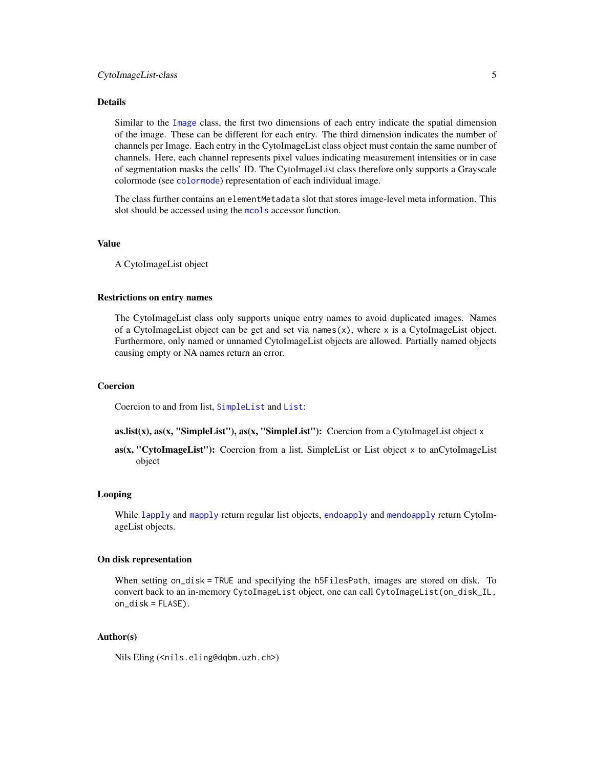## <span id="page-4-0"></span>CytoImageList-class 5

#### Details

Similar to the [Image](#page-0-0) class, the first two dimensions of each entry indicate the spatial dimension of the image. These can be different for each entry. The third dimension indicates the number of channels per Image. Each entry in the CytoImageList class object must contain the same number of channels. Here, each channel represents pixel values indicating measurement intensities or in case of segmentation masks the cells' ID. The CytoImageList class therefore only supports a Grayscale colormode (see [colormode](#page-0-0)) representation of each individual image.

The class further contains an elementMetadata slot that stores image-level meta information. This slot should be accessed using the [mcols](#page-0-0) accessor function.

#### Value

A CytoImageList object

#### Restrictions on entry names

The CytoImageList class only supports unique entry names to avoid duplicated images. Names of a CytoImageList object can be get and set via names(x), where x is a CytoImageList object. Furthermore, only named or unnamed CytoImageList objects are allowed. Partially named objects causing empty or NA names return an error.

## Coercion

Coercion to and from list, [SimpleList](#page-0-0) and [List](#page-0-0):

as.list(x), as(x, "SimpleList"), as(x, "SimpleList"): Coercion from a CytoImageList object x

as(x, "CytoImageList"): Coercion from a list, SimpleList or List object x to anCytoImageList object

#### Looping

While [lapply](#page-0-0) and [mapply](#page-0-0) return regular list objects, [endoapply](#page-0-0) and [mendoapply](#page-0-0) return CytoImageList objects.

## On disk representation

When setting on\_disk = TRUE and specifying the h5FilesPath, images are stored on disk. To convert back to an in-memory CytoImageList object, one can call CytoImageList(on\_disk\_IL, on\_disk = FLASE).

## Author(s)

Nils Eling (<nils.eling@dqbm.uzh.ch>)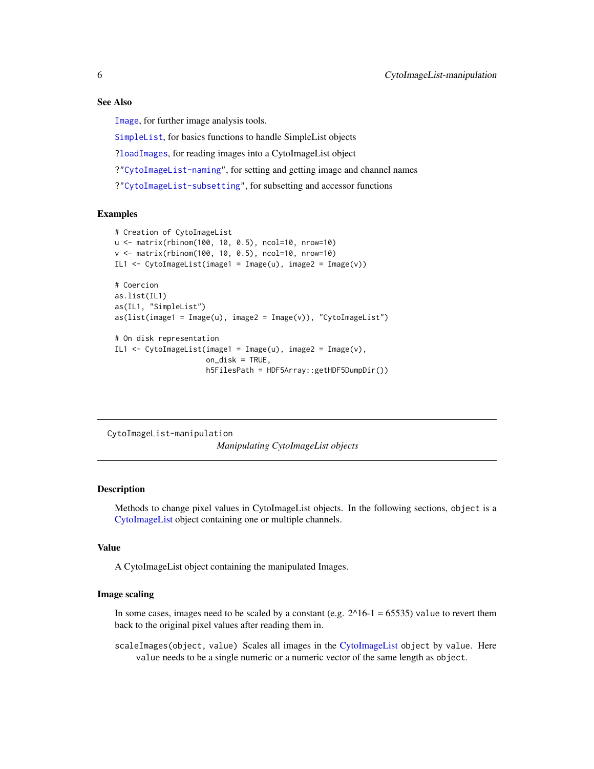#### See Also

[Image](#page-0-0), for further image analysis tools.

[SimpleList](#page-0-0), for basics functions to handle SimpleList objects [?loadImages](#page-13-1), for reading images into a CytoImageList object ?["CytoImageList-naming"](#page-7-1), for setting and getting image and channel names ?["CytoImageList-subsetting"](#page-8-1), for subsetting and accessor functions

## Examples

```
# Creation of CytoImageList
u <- matrix(rbinom(100, 10, 0.5), ncol=10, nrow=10)
v <- matrix(rbinom(100, 10, 0.5), ncol=10, nrow=10)
IL1 \leftarrow CytoImageList(image1 = Image(u), image2 = Image(v))
# Coercion
as.list(IL1)
as(IL1, "SimpleList")
as(list(image1 = Image(u), image2 = Image(v)), "CytoImageList")
# On disk representation
IL1 \leq CytoImageList(image1 = Image(u), image2 = Image(v),
                     on_disk = TRUE,
                     h5FilesPath = HDF5Array::getHDF5DumpDir())
```
CytoImageList-manipulation *Manipulating CytoImageList objects*

## <span id="page-5-1"></span>**Description**

Methods to change pixel values in CytoImageList objects. In the following sections, object is a [CytoImageList](#page-3-1) object containing one or multiple channels.

#### Value

A CytoImageList object containing the manipulated Images.

#### Image scaling

In some cases, images need to be scaled by a constant (e.g.  $2^{n}16-1 = 65535$ ) value to revert them back to the original pixel values after reading them in.

scaleImages(object, value) Scales all images in the [CytoImageList](#page-3-1) object by value. Here value needs to be a single numeric or a numeric vector of the same length as object.

<span id="page-5-0"></span>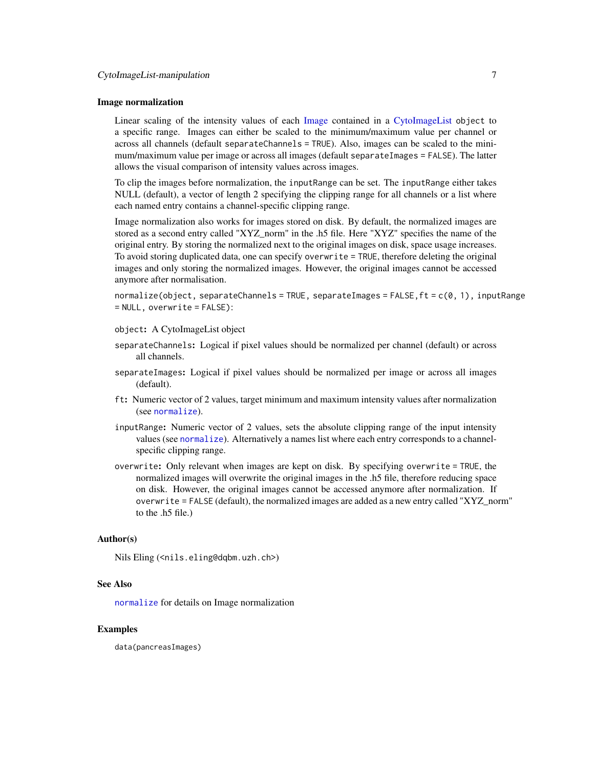#### <span id="page-6-0"></span>Image normalization

Linear scaling of the intensity values of each [Image](#page-0-0) contained in a [CytoImageList](#page-3-1) object to a specific range. Images can either be scaled to the minimum/maximum value per channel or across all channels (default separateChannels = TRUE). Also, images can be scaled to the minimum/maximum value per image or across all images (default separateImages = FALSE). The latter allows the visual comparison of intensity values across images.

To clip the images before normalization, the inputRange can be set. The inputRange either takes NULL (default), a vector of length 2 specifying the clipping range for all channels or a list where each named entry contains a channel-specific clipping range.

Image normalization also works for images stored on disk. By default, the normalized images are stored as a second entry called "XYZ\_norm" in the .h5 file. Here "XYZ" specifies the name of the original entry. By storing the normalized next to the original images on disk, space usage increases. To avoid storing duplicated data, one can specify overwrite = TRUE, therefore deleting the original images and only storing the normalized images. However, the original images cannot be accessed anymore after normalisation.

normalize(object, separateChannels = TRUE, separateImages = FALSE,ft = c(0, 1), inputRange = NULL, overwrite = FALSE):

object: A CytoImageList object

- separateChannels: Logical if pixel values should be normalized per channel (default) or across all channels.
- separateImages: Logical if pixel values should be normalized per image or across all images (default).
- ft: Numeric vector of 2 values, target minimum and maximum intensity values after normalization (see [normalize](#page-5-1)).
- inputRange: Numeric vector of 2 values, sets the absolute clipping range of the input intensity values (see [normalize](#page-5-1)). Alternatively a names list where each entry corresponds to a channelspecific clipping range.
- overwrite: Only relevant when images are kept on disk. By specifying overwrite = TRUE, the normalized images will overwrite the original images in the .h5 file, therefore reducing space on disk. However, the original images cannot be accessed anymore after normalization. If overwrite = FALSE (default), the normalized images are added as a new entry called "XYZ\_norm" to the .h5 file.)

## Author(s)

Nils Eling (<nils.eling@dqbm.uzh.ch>)

#### See Also

[normalize](#page-5-1) for details on Image normalization

#### Examples

data(pancreasImages)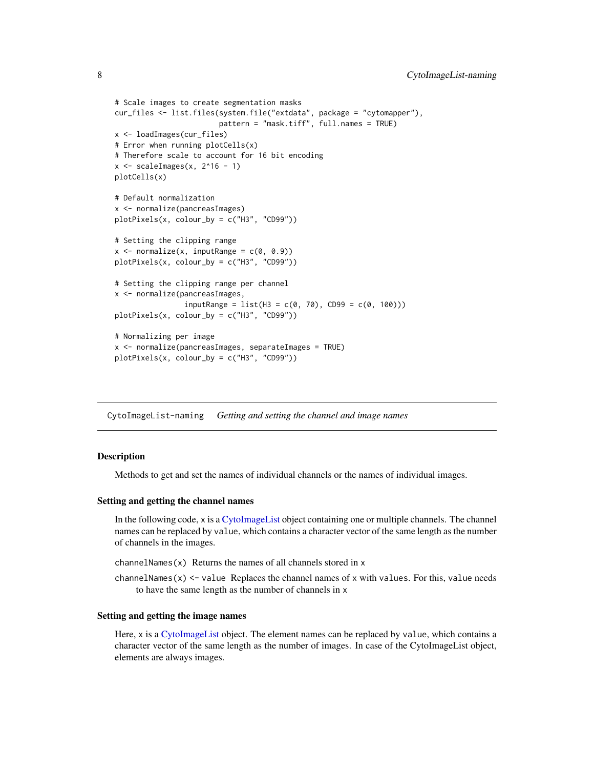```
# Scale images to create segmentation masks
cur_files <- list.files(system.file("extdata", package = "cytomapper"),
                        pattern = "mask.tiff", full.names = TRUE)
x <- loadImages(cur_files)
# Error when running plotCells(x)
# Therefore scale to account for 16 bit encoding
x \le scaleImages(x, 2^16 - 1)
plotCells(x)
# Default normalization
x <- normalize(pancreasImages)
plotPixels(x, colour_by = c("H3", "CD99"))
# Setting the clipping range
x \le normalize(x, inputRange = c(\theta, \theta.9))
plotPixels(x, colour_by = c("H3", "CD99"))
# Setting the clipping range per channel
x <- normalize(pancreasImages,
                inputRange = list(H3 = c(0, 70), CD99 = c(0, 100)))plotPixels(x, colour_by = c("H3", "CD99"))
# Normalizing per image
x <- normalize(pancreasImages, separateImages = TRUE)
plotPixels(x, colour_by = c("H3", "CD99"))
```
<span id="page-7-1"></span>CytoImageList-naming *Getting and setting the channel and image names*

## <span id="page-7-2"></span>**Description**

Methods to get and set the names of individual channels or the names of individual images.

#### Setting and getting the channel names

In the following code, x is a [CytoImageList](#page-3-1) object containing one or multiple channels. The channel names can be replaced by value, which contains a character vector of the same length as the number of channels in the images.

channelNames(x) Returns the names of all channels stored in x

channelNames(x)  $\le$  value Replaces the channel names of x with values. For this, value needs to have the same length as the number of channels in x

#### Setting and getting the image names

Here, x is a [CytoImageList](#page-3-1) object. The element names can be replaced by value, which contains a character vector of the same length as the number of images. In case of the CytoImageList object, elements are always images.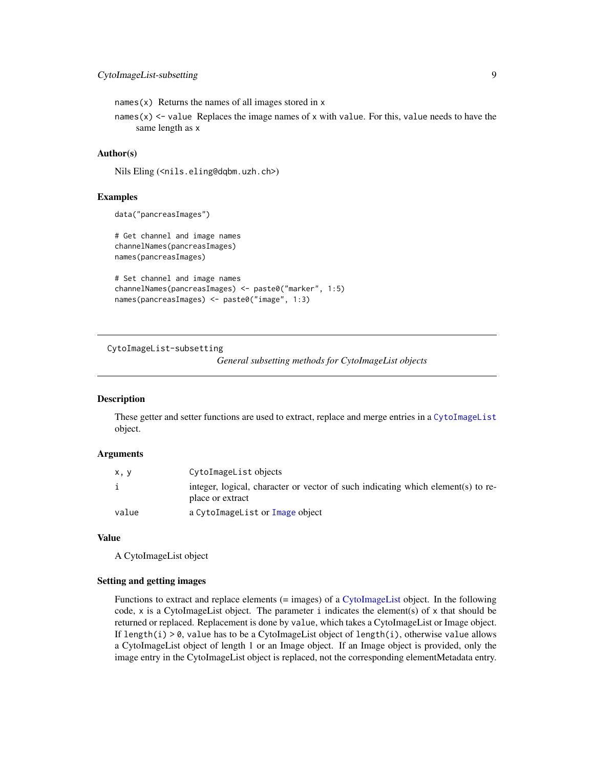<span id="page-8-0"></span>names $(x)$  Returns the names of all images stored in x

names(x)  $\le$  value Replaces the image names of x with value. For this, value needs to have the same length as x

## Author(s)

Nils Eling (<nils.eling@dqbm.uzh.ch>)

## Examples

```
data("pancreasImages")
```
# Get channel and image names channelNames(pancreasImages) names(pancreasImages)

```
# Set channel and image names
channelNames(pancreasImages) <- paste0("marker", 1:5)
names(pancreasImages) <- paste0("image", 1:3)
```
<span id="page-8-1"></span>CytoImageList-subsetting

*General subsetting methods for CytoImageList objects*

#### Description

These getter and setter functions are used to extract, replace and merge entries in a [CytoImageList](#page-3-1) object.

### Arguments

| x, y         | CytoImageList objects                                                                                |
|--------------|------------------------------------------------------------------------------------------------------|
| $\mathbf{1}$ | integer, logical, character or vector of such indicating which element(s) to re-<br>place or extract |
| value        | a CytoImageList or Image object                                                                      |

#### Value

A CytoImageList object

#### Setting and getting images

Functions to extract and replace elements (= images) of a [CytoImageList](#page-3-1) object. In the following code, x is a CytoImageList object. The parameter i indicates the element(s) of x that should be returned or replaced. Replacement is done by value, which takes a CytoImageList or Image object. If length(i)  $> 0$ , value has to be a CytoImageList object of length(i), otherwise value allows a CytoImageList object of length 1 or an Image object. If an Image object is provided, only the image entry in the CytoImageList object is replaced, not the corresponding elementMetadata entry.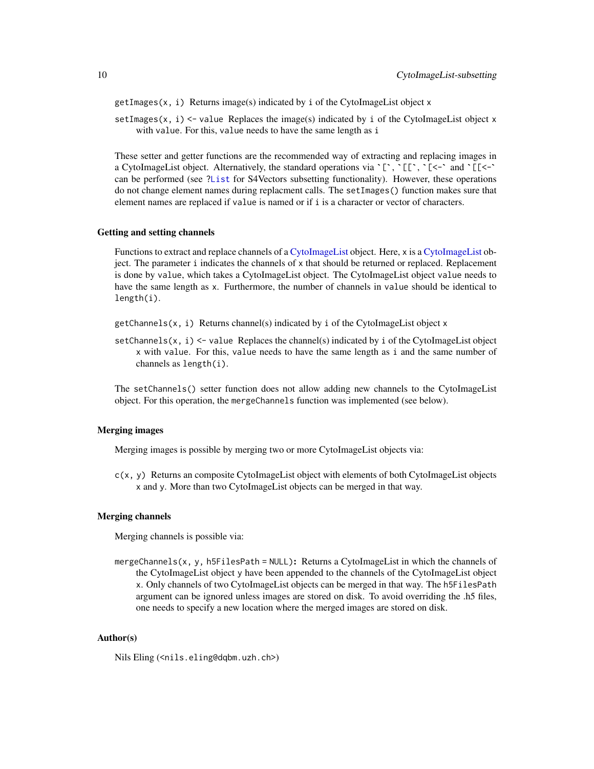<span id="page-9-0"></span>getImages(x, i) Returns image(s) indicated by i of the CytoImageList object x

setImages(x, i)  $\le$  value Replaces the image(s) indicated by i of the CytoImageList object x with value. For this, value needs to have the same length as i

These setter and getter functions are the recommended way of extracting and replacing images in with value. For this, value needs to have the same length as i<br>These setter and getter functions are the recommended way of extracting and replacing images in<br>a CytoImageList object. Alternatively, the standard operations can be performed (see [?List](#page-0-0) for S4Vectors subsetting functionality). However, these operations do not change element names during replacment calls. The setImages() function makes sure that element names are replaced if value is named or if i is a character or vector of characters.

#### Getting and setting channels

Functions to extract and replace channels of a [CytoImageList](#page-3-1) object. Here, x is a [CytoImageList](#page-3-1) object. The parameter i indicates the channels of x that should be returned or replaced. Replacement is done by value, which takes a CytoImageList object. The CytoImageList object value needs to have the same length as x. Furthermore, the number of channels in value should be identical to length(i).

- $getChannels(x, i)$  Returns channel(s) indicated by i of the CytoImageList object x
- setChannels(x,  $i$ ) <- value Replaces the channel(s) indicated by  $i$  of the CytoImageList object x with value. For this, value needs to have the same length as i and the same number of channels as length(i).

The setChannels() setter function does not allow adding new channels to the CytoImageList object. For this operation, the mergeChannels function was implemented (see below).

#### Merging images

Merging images is possible by merging two or more CytoImageList objects via:

c(x, y) Returns an composite CytoImageList object with elements of both CytoImageList objects x and y. More than two CytoImageList objects can be merged in that way.

#### Merging channels

Merging channels is possible via:

mergeChannels(x, y, h5FilesPath = NULL): Returns a CytoImageList in which the channels of the CytoImageList object y have been appended to the channels of the CytoImageList object x. Only channels of two CytoImageList objects can be merged in that way. The h5FilesPath argument can be ignored unless images are stored on disk. To avoid overriding the .h5 files, one needs to specify a new location where the merged images are stored on disk.

#### Author(s)

Nils Eling (<nils.eling@dqbm.uzh.ch>)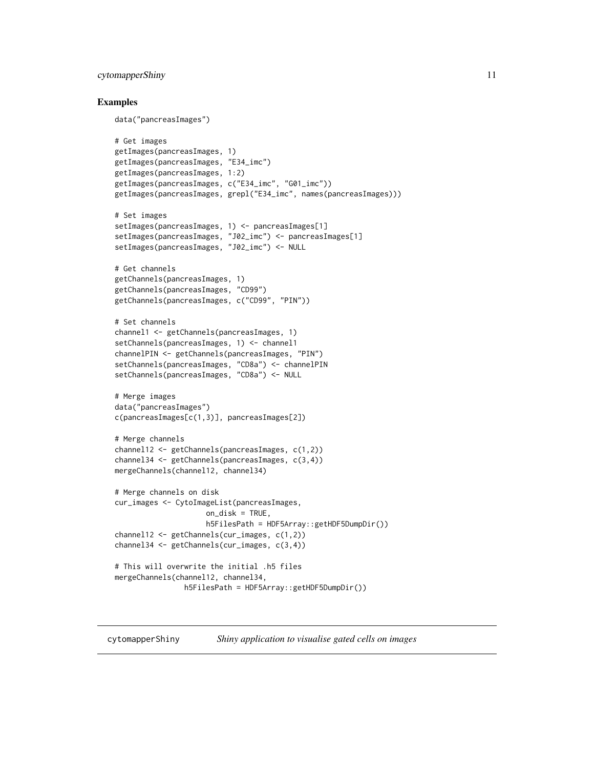## <span id="page-10-0"></span>cytomapperShiny 11

#### Examples

data("pancreasImages")

```
# Get images
getImages(pancreasImages, 1)
getImages(pancreasImages, "E34_imc")
getImages(pancreasImages, 1:2)
getImages(pancreasImages, c("E34_imc", "G01_imc"))
getImages(pancreasImages, grepl("E34_imc", names(pancreasImages)))
# Set images
setImages(pancreasImages, 1) <- pancreasImages[1]
setImages(pancreasImages, "J02_imc") <- pancreasImages[1]
setImages(pancreasImages, "J02_imc") <- NULL
# Get channels
getChannels(pancreasImages, 1)
getChannels(pancreasImages, "CD99")
getChannels(pancreasImages, c("CD99", "PIN"))
# Set channels
channel1 <- getChannels(pancreasImages, 1)
setChannels(pancreasImages, 1) <- channel1
channelPIN <- getChannels(pancreasImages, "PIN")
setChannels(pancreasImages, "CD8a") <- channelPIN
setChannels(pancreasImages, "CD8a") <- NULL
# Merge images
data("pancreasImages")
c(pancreasImages[c(1,3)], pancreasImages[2])
# Merge channels
channel12 <- getChannels(pancreasImages, c(1,2))
channel34 <- getChannels(pancreasImages, c(3,4))
mergeChannels(channel12, channel34)
# Merge channels on disk
cur_images <- CytoImageList(pancreasImages,
                     on_disk = TRUE,
                     h5FilesPath = HDF5Array::getHDF5DumpDir())
channel12 <- getChannels(cur_images, c(1,2))
channel34 <- getChannels(cur_images, c(3,4))
# This will overwrite the initial .h5 files
mergeChannels(channel12, channel34,
                h5FilesPath = HDF5Array::getHDF5DumpDir())
```
cytomapperShiny *Shiny application to visualise gated cells on images*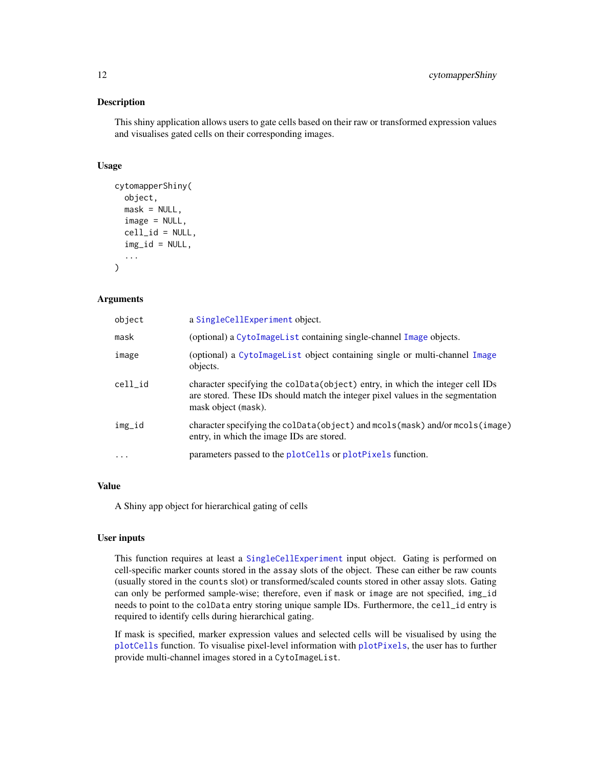## Description

This shiny application allows users to gate cells based on their raw or transformed expression values and visualises gated cells on their corresponding images.

#### Usage

```
cytomapperShiny(
 object,
 mask = NULL,image = NULL,
  cell_id = NULL,
  img\_id = NULL,...
)
```
## Arguments

| object   | a SingleCellExperiment object.                                                                                                                                                           |
|----------|------------------------------------------------------------------------------------------------------------------------------------------------------------------------------------------|
| mask     | (optional) a CytoImageList containing single-channel Image objects.                                                                                                                      |
| image    | (optional) a CytoImageList object containing single or multi-channel Image<br>objects.                                                                                                   |
| cell id  | character specifying the coldata (object) entry, in which the integer cell IDs<br>are stored. These IDs should match the integer pixel values in the segmentation<br>mask object (mask). |
| img_id   | character specifying the colData(object) and mcols(mask) and/or mcols(image)<br>entry, in which the image IDs are stored.                                                                |
| $\ddots$ | parameters passed to the plotCells or plotPixels function.                                                                                                                               |

## Value

A Shiny app object for hierarchical gating of cells

### User inputs

This function requires at least a [SingleCellExperiment](#page-0-0) input object. Gating is performed on cell-specific marker counts stored in the assay slots of the object. These can either be raw counts (usually stored in the counts slot) or transformed/scaled counts stored in other assay slots. Gating can only be performed sample-wise; therefore, even if mask or image are not specified, img\_id needs to point to the colData entry storing unique sample IDs. Furthermore, the cell\_id entry is required to identify cells during hierarchical gating.

If mask is specified, marker expression values and selected cells will be visualised by using the [plotCells](#page-20-1) function. To visualise pixel-level information with [plotPixels](#page-23-1), the user has to further provide multi-channel images stored in a CytoImageList.

<span id="page-11-0"></span>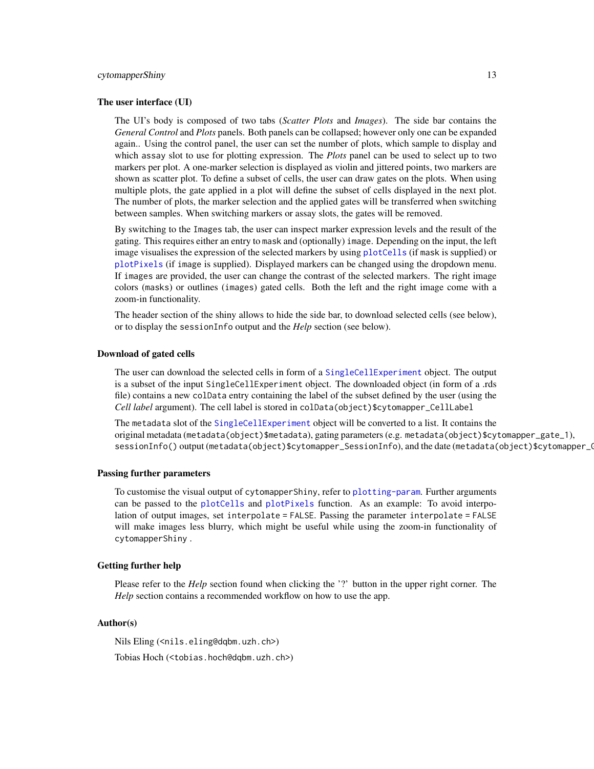#### <span id="page-12-0"></span>cytomapperShiny 13

#### The user interface (UI)

The UI's body is composed of two tabs (*Scatter Plots* and *Images*). The side bar contains the *General Control* and *Plots* panels. Both panels can be collapsed; however only one can be expanded again.. Using the control panel, the user can set the number of plots, which sample to display and which assay slot to use for plotting expression. The *Plots* panel can be used to select up to two markers per plot. A one-marker selection is displayed as violin and jittered points, two markers are shown as scatter plot. To define a subset of cells, the user can draw gates on the plots. When using multiple plots, the gate applied in a plot will define the subset of cells displayed in the next plot. The number of plots, the marker selection and the applied gates will be transferred when switching between samples. When switching markers or assay slots, the gates will be removed.

By switching to the Images tab, the user can inspect marker expression levels and the result of the gating. This requires either an entry to mask and (optionally) image. Depending on the input, the left image visualises the expression of the selected markers by using [plotCells](#page-20-1) (if mask is supplied) or [plotPixels](#page-23-1) (if image is supplied). Displayed markers can be changed using the dropdown menu. If images are provided, the user can change the contrast of the selected markers. The right image colors (masks) or outlines (images) gated cells. Both the left and the right image come with a zoom-in functionality.

The header section of the shiny allows to hide the side bar, to download selected cells (see below), or to display the sessionInfo output and the *Help* section (see below).

#### Download of gated cells

The user can download the selected cells in form of a [SingleCellExperiment](#page-0-0) object. The output is a subset of the input SingleCellExperiment object. The downloaded object (in form of a .rds file) contains a new colData entry containing the label of the subset defined by the user (using the *Cell label* argument). The cell label is stored in colData(object)\$cytomapper\_CellLabel

The metadata slot of the [SingleCellExperiment](#page-0-0) object will be converted to a list. It contains the original metadata (metadata(object)\$metadata), gating parameters (e.g. metadata(object)\$cytomapper\_gate\_1), sessionInfo() output (metadata(object)\$cytomapper\_SessionInfo), and the date (metadata(object)\$cytomapper\_Gati

#### Passing further parameters

To customise the visual output of cytomapperShiny, refer to [plotting-param](#page-26-1). Further arguments can be passed to the [plotCells](#page-20-1) and [plotPixels](#page-23-1) function. As an example: To avoid interpolation of output images, set interpolate = FALSE. Passing the parameter interpolate = FALSE will make images less blurry, which might be useful while using the zoom-in functionality of cytomapperShiny .

## Getting further help

Please refer to the *Help* section found when clicking the '?' button in the upper right corner. The *Help* section contains a recommended workflow on how to use the app.

## Author(s)

Nils Eling (<nils.eling@dqbm.uzh.ch>) Tobias Hoch (<tobias.hoch@dqbm.uzh.ch>)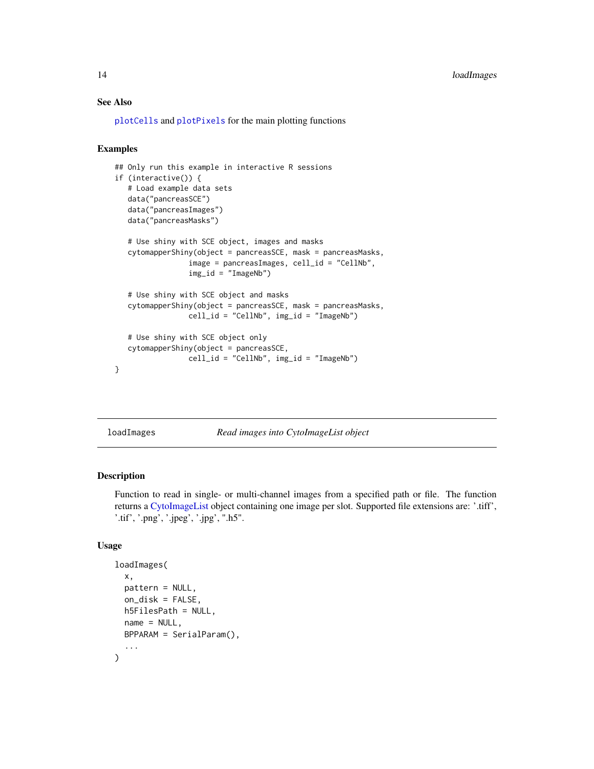## See Also

[plotCells](#page-20-1) and [plotPixels](#page-23-1) for the main plotting functions

## Examples

```
## Only run this example in interactive R sessions
if (interactive()) {
  # Load example data sets
  data("pancreasSCE")
  data("pancreasImages")
  data("pancreasMasks")
  # Use shiny with SCE object, images and masks
  cytomapperShiny(object = pancreasSCE, mask = pancreasMasks,
                 image = pancreasImages, cell_id = "CellNb",
                 img_id = "ImageNb")
   # Use shiny with SCE object and masks
  cytomapperShiny(object = pancreasSCE, mask = pancreasMasks,
                 cell_id = "CellNb", img_id = "ImageNb")# Use shiny with SCE object only
  cytomapperShiny(object = pancreasSCE,
                cell_id = "CellNb", img_id = "ImageNb")
}
```
<span id="page-13-1"></span>loadImages *Read images into CytoImageList object*

## Description

Function to read in single- or multi-channel images from a specified path or file. The function returns a [CytoImageList](#page-3-1) object containing one image per slot. Supported file extensions are: '.tiff', '.tif', '.png', '.jpeg', '.jpg', ".h5".

## Usage

```
loadImages(
  x,
 pattern = NULL,
  on_disk = FALSE,
 h5FilesPath = NULL,
  name = NULL,
 BPPARAM = SerialParam(),
  ...
)
```
<span id="page-13-0"></span>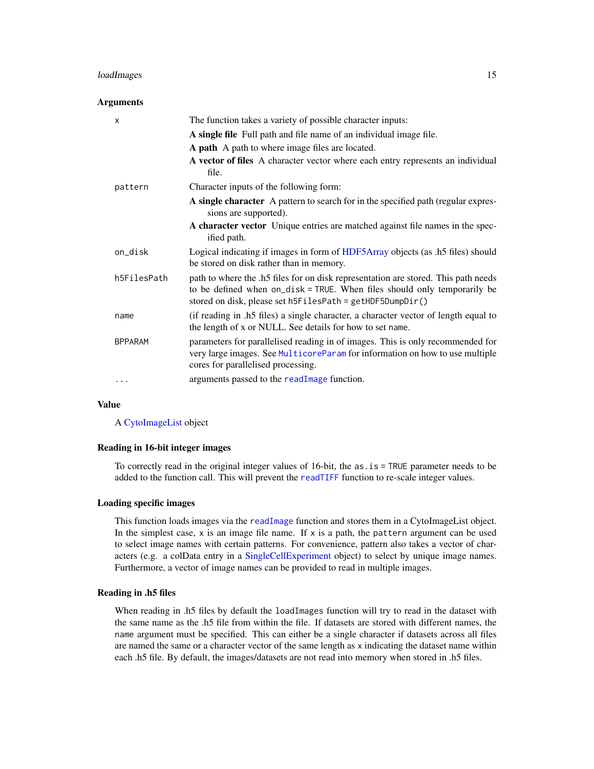## <span id="page-14-0"></span>loadImages 15

#### Arguments

| X              | The function takes a variety of possible character inputs:                                                                                                                                                                  |
|----------------|-----------------------------------------------------------------------------------------------------------------------------------------------------------------------------------------------------------------------------|
|                | A single file Full path and file name of an individual image file.                                                                                                                                                          |
|                | <b>A path</b> A path to where image files are located.                                                                                                                                                                      |
|                | A vector of files A character vector where each entry represents an individual<br>file.                                                                                                                                     |
| pattern        | Character inputs of the following form:                                                                                                                                                                                     |
|                | A single character A pattern to search for in the specified path (regular expres-<br>sions are supported).                                                                                                                  |
|                | A character vector Unique entries are matched against file names in the spec-<br>ified path.                                                                                                                                |
| on_disk        | Logical indicating if images in form of HDF5Array objects (as .h5 files) should<br>be stored on disk rather than in memory.                                                                                                 |
| h5FilesPath    | path to where the .h5 files for on disk representation are stored. This path needs<br>to be defined when on_disk = TRUE. When files should only temporarily be<br>stored on disk, please set h5FilesPath = getHDF5DumpDir() |
| name           | (if reading in .h5 files) a single character, a character vector of length equal to<br>the length of x or NULL. See details for how to set name.                                                                            |
| <b>BPPARAM</b> | parameters for parallelised reading in of images. This is only recommended for<br>very large images. See MulticoreParam for information on how to use multiple<br>cores for parallelised processing.                        |
| $\ddotsc$      | arguments passed to the readImage function.                                                                                                                                                                                 |

#### Value

A [CytoImageList](#page-3-1) object

## Reading in 16-bit integer images

To correctly read in the original integer values of 16-bit, the as.is = TRUE parameter needs to be added to the function call. This will prevent the [readTIFF](#page-0-0) function to re-scale integer values.

## Loading specific images

This function loads images via the [readImage](#page-0-0) function and stores them in a CytoImageList object. In the simplest case,  $x$  is an image file name. If  $x$  is a path, the pattern argument can be used to select image names with certain patterns. For convenience, pattern also takes a vector of characters (e.g. a colData entry in a [SingleCellExperiment](#page-0-0) object) to select by unique image names. Furthermore, a vector of image names can be provided to read in multiple images.

## Reading in .h5 files

When reading in .h5 files by default the loadImages function will try to read in the dataset with the same name as the .h5 file from within the file. If datasets are stored with different names, the name argument must be specified. This can either be a single character if datasets across all files are named the same or a character vector of the same length as x indicating the dataset name within each .h5 file. By default, the images/datasets are not read into memory when stored in .h5 files.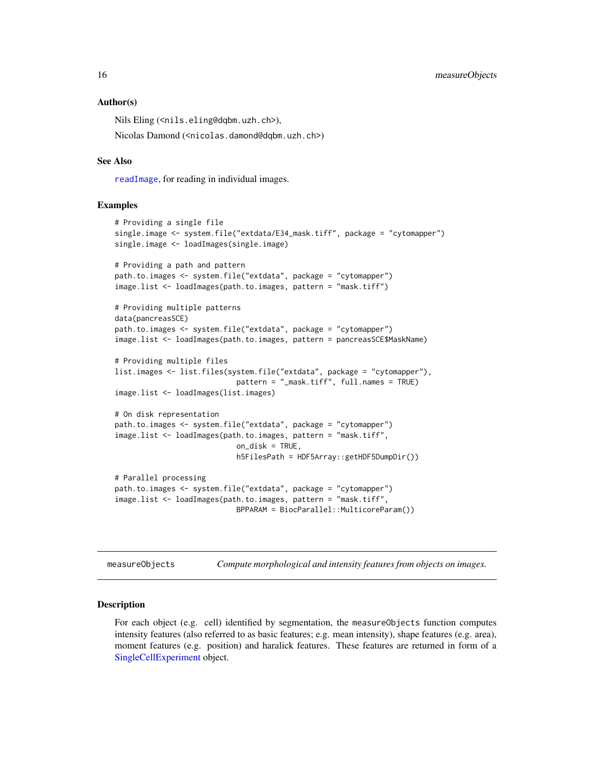#### Author(s)

Nils Eling (<nils.eling@dqbm.uzh.ch>), Nicolas Damond (<nicolas.damond@dqbm.uzh.ch>)

#### See Also

[readImage](#page-0-0), for reading in individual images.

#### Examples

```
# Providing a single file
single.image <- system.file("extdata/E34_mask.tiff", package = "cytomapper")
single.image <- loadImages(single.image)
# Providing a path and pattern
path.to.images <- system.file("extdata", package = "cytomapper")
image.list <- loadImages(path.to.images, pattern = "mask.tiff")
# Providing multiple patterns
data(pancreasSCE)
path.to.images <- system.file("extdata", package = "cytomapper")
image.list <- loadImages(path.to.images, pattern = pancreasSCE$MaskName)
# Providing multiple files
list.images <- list.files(system.file("extdata", package = "cytomapper"),
                            pattern = "_mask.tiff", full.names = TRUE)
image.list <- loadImages(list.images)
# On disk representation
path.to.images <- system.file("extdata", package = "cytomapper")
image.list <- loadImages(path.to.images, pattern = "mask.tiff",
                            on_disk = TRUE,
                            h5FilesPath = HDF5Array::getHDF5DumpDir())
# Parallel processing
path.to.images <- system.file("extdata", package = "cytomapper")
image.list <- loadImages(path.to.images, pattern = "mask.tiff",
                            BPPARAM = BiocParallel::MulticoreParam())
```
measureObjects *Compute morphological and intensity features from objects on images.*

#### Description

For each object (e.g. cell) identified by segmentation, the measureObjects function computes intensity features (also referred to as basic features; e.g. mean intensity), shape features (e.g. area), moment features (e.g. position) and haralick features. These features are returned in form of a [SingleCellExperiment](#page-0-0) object.

<span id="page-15-0"></span>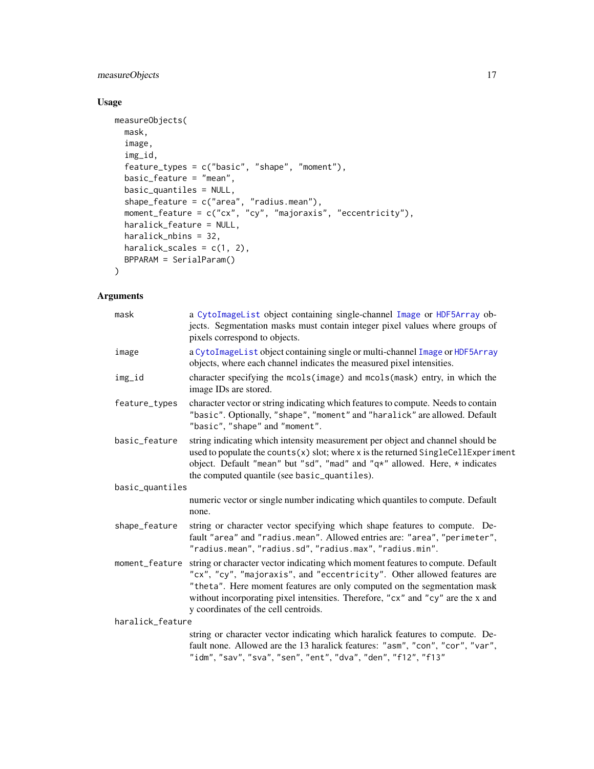## <span id="page-16-0"></span>measureObjects 17

## Usage

```
measureObjects(
 mask,
  image,
  img_id,
  feature_types = c("basic", "shape", "moment"),
 basic_feature = "mean",
 basic_quantiles = NULL,
 shape_feature = c("area", "radius.mean"),
 moment_feature = c("cx", "cy", "majoraxis", "eccentricity"),
 haralick_feature = NULL,
 haralick_nbins = 32,
 haralick_scales = c(1, 2),
 BPPARAM = SerialParam()
)
```
## Arguments

| mask             | a CytoImageList object containing single-channel Image or HDF5Array ob-<br>jects. Segmentation masks must contain integer pixel values where groups of<br>pixels correspond to objects.                                                                                                                                                                           |  |
|------------------|-------------------------------------------------------------------------------------------------------------------------------------------------------------------------------------------------------------------------------------------------------------------------------------------------------------------------------------------------------------------|--|
| image            | a CytoImageList object containing single or multi-channel Image or HDF5Array<br>objects, where each channel indicates the measured pixel intensities.                                                                                                                                                                                                             |  |
| img_id           | character specifying the mcols(image) and mcols(mask) entry, in which the<br>image IDs are stored.                                                                                                                                                                                                                                                                |  |
| feature_types    | character vector or string indicating which features to compute. Needs to contain<br>"basic". Optionally, "shape", "moment" and "haralick" are allowed. Default<br>"basic", "shape" and "moment".                                                                                                                                                                 |  |
| basic_feature    | string indicating which intensity measurement per object and channel should be<br>used to populate the counts(x) slot; where x is the returned SingleCellExperiment<br>object. Default "mean" but "sd", "mad" and "q*" allowed. Here, * indicates<br>the computed quantile (see basic_quantiles).                                                                 |  |
| basic_quantiles  |                                                                                                                                                                                                                                                                                                                                                                   |  |
|                  | numeric vector or single number indicating which quantiles to compute. Default<br>none.                                                                                                                                                                                                                                                                           |  |
| shape_feature    | string or character vector specifying which shape features to compute. De-<br>fault "area" and "radius.mean". Allowed entries are: "area", "perimeter",<br>"radius.mean", "radius.sd", "radius.max", "radius.min".                                                                                                                                                |  |
| moment_feature   | string or character vector indicating which moment features to compute. Default<br>"cx", "cy", "majoraxis", and "eccentricity". Other allowed features are<br>"theta". Here moment features are only computed on the segmentation mask<br>without incorporating pixel intensities. Therefore, "cx" and "cy" are the x and<br>y coordinates of the cell centroids. |  |
| haralick_feature |                                                                                                                                                                                                                                                                                                                                                                   |  |
|                  | string or character vector indicating which haralick features to compute. De-<br>fault none. Allowed are the 13 haralick features: "asm", "con", "cor", "var",<br>"idm", "sav", "sva", "sen", "ent", "dva", "den", "f12", "f13"                                                                                                                                   |  |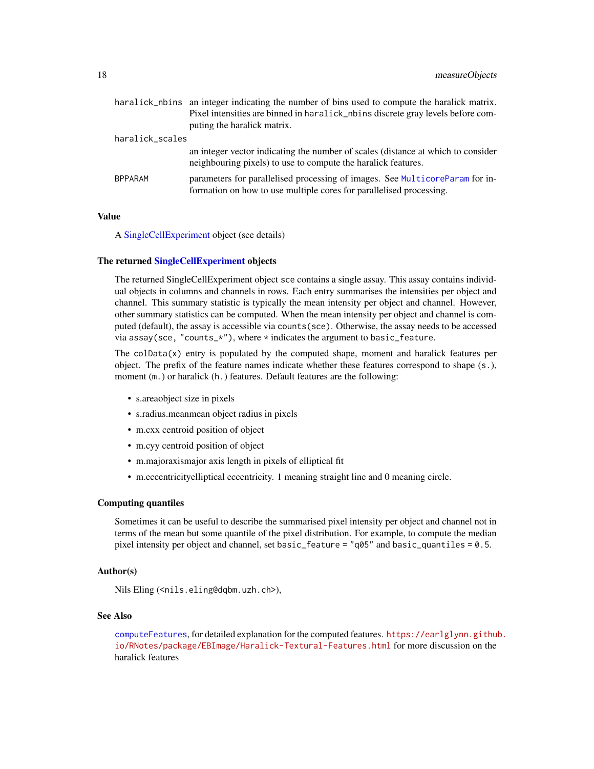<span id="page-17-0"></span>

|                 | haralick_nbins an integer indicating the number of bins used to compute the haralick matrix. |
|-----------------|----------------------------------------------------------------------------------------------|
|                 | Pixel intensities are binned in haralick_nbins discrete gray levels before com-              |
|                 | puting the haralick matrix.                                                                  |
| haralick_scales |                                                                                              |
|                 | an integer vector indicating the number of scales (distance at which to consider             |
|                 | neighbouring pixels) to use to compute the haralick features.                                |
| <b>BPPARAM</b>  | parameters for parallelised processing of images. See MulticoreParam for in-                 |
|                 | formation on how to use multiple cores for parallelised processing.                          |
|                 |                                                                                              |

#### Value

A [SingleCellExperiment](#page-0-0) object (see details)

#### The returned [SingleCellExperiment](#page-0-0) objects

The returned SingleCellExperiment object sce contains a single assay. This assay contains individual objects in columns and channels in rows. Each entry summarises the intensities per object and channel. This summary statistic is typically the mean intensity per object and channel. However, other summary statistics can be computed. When the mean intensity per object and channel is computed (default), the assay is accessible via counts(sce). Otherwise, the assay needs to be accessed via assay(sce, "counts\_\*"), where  $*$  indicates the argument to basic\_feature.

The colData(x) entry is populated by the computed shape, moment and haralick features per object. The prefix of the feature names indicate whether these features correspond to shape (s.), moment (m.) or haralick (h.) features. Default features are the following:

- s.areaobject size in pixels
- s.radius.meanmean object radius in pixels
- m.cxx centroid position of object
- m.cyy centroid position of object
- m.majoraxismajor axis length in pixels of elliptical fit
- m.eccentricityelliptical eccentricity. 1 meaning straight line and 0 meaning circle.

#### Computing quantiles

Sometimes it can be useful to describe the summarised pixel intensity per object and channel not in terms of the mean but some quantile of the pixel distribution. For example, to compute the median pixel intensity per object and channel, set basic\_feature = "q05" and basic\_quantiles = 0.5.

#### Author(s)

Nils Eling (<nils.eling@dqbm.uzh.ch>),

#### See Also

[computeFeatures](#page-0-0), for detailed explanation for the computed features. [https://earlglynn.github](https://earlglynn.github.io/RNotes/package/EBImage/Haralick-Textural-Features.html). [io/RNotes/package/EBImage/Haralick-Textural-Features.html](https://earlglynn.github.io/RNotes/package/EBImage/Haralick-Textural-Features.html) for more discussion on the haralick features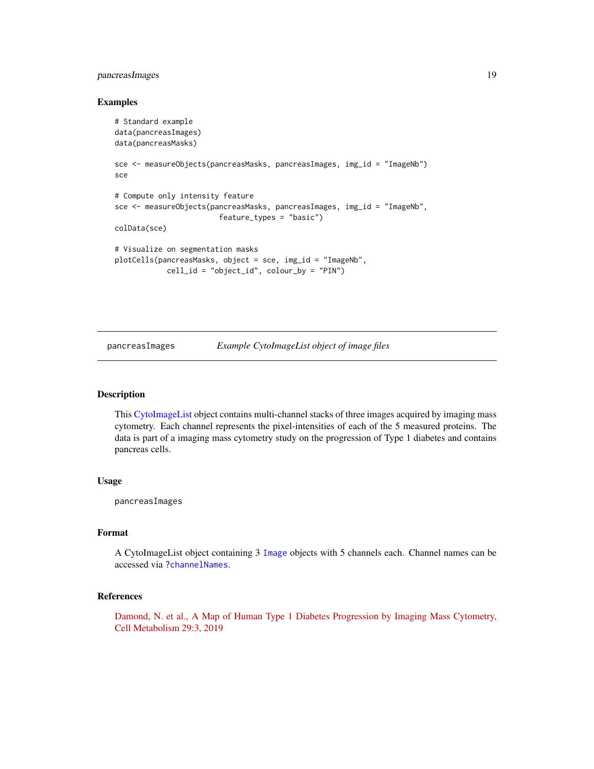## <span id="page-18-0"></span>pancreasImages 19

#### Examples

```
# Standard example
data(pancreasImages)
data(pancreasMasks)
sce <- measureObjects(pancreasMasks, pancreasImages, img_id = "ImageNb")
sce
# Compute only intensity feature
sce <- measureObjects(pancreasMasks, pancreasImages, img_id = "ImageNb",
                        feature_types = "basic")
colData(sce)
# Visualize on segmentation masks
plotCells(pancreasMasks, object = sce, img_id = "ImageNb",
            cell_id = "object_id", colour_by = "PIN")
```
<span id="page-18-1"></span>

pancreasImages *Example CytoImageList object of image files*

### Description

This [CytoImageList](#page-3-1) object contains multi-channel stacks of three images acquired by imaging mass cytometry. Each channel represents the pixel-intensities of each of the 5 measured proteins. The data is part of a imaging mass cytometry study on the progression of Type 1 diabetes and contains pancreas cells.

#### Usage

pancreasImages

#### Format

A CytoImageList object containing 3 [Image](#page-0-0) objects with 5 channels each. Channel names can be accessed via [?channelNames](#page-7-2).

#### References

[Damond, N. et al., A Map of Human Type 1 Diabetes Progression by Imaging Mass Cytometry,](https://www.sciencedirect.com/science/article/pii/S1550413118306910) [Cell Metabolism 29:3, 2019](https://www.sciencedirect.com/science/article/pii/S1550413118306910)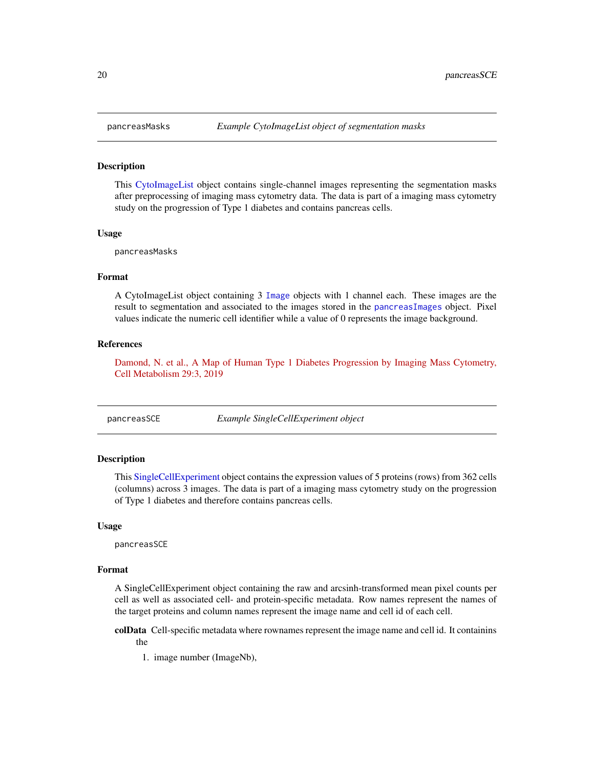#### **Description**

This [CytoImageList](#page-3-1) object contains single-channel images representing the segmentation masks after preprocessing of imaging mass cytometry data. The data is part of a imaging mass cytometry study on the progression of Type 1 diabetes and contains pancreas cells.

#### Usage

pancreasMasks

## Format

A CytoImageList object containing 3 [Image](#page-0-0) objects with 1 channel each. These images are the result to segmentation and associated to the images stored in the [pancreasImages](#page-18-1) object. Pixel values indicate the numeric cell identifier while a value of 0 represents the image background.

#### References

[Damond, N. et al., A Map of Human Type 1 Diabetes Progression by Imaging Mass Cytometry,](https://www.sciencedirect.com/science/article/pii/S1550413118306910) [Cell Metabolism 29:3, 2019](https://www.sciencedirect.com/science/article/pii/S1550413118306910)

pancreasSCE *Example SingleCellExperiment object*

## Description

This [SingleCellExperiment](#page-0-0) object contains the expression values of 5 proteins (rows) from 362 cells (columns) across 3 images. The data is part of a imaging mass cytometry study on the progression of Type 1 diabetes and therefore contains pancreas cells.

#### Usage

pancreasSCE

#### Format

A SingleCellExperiment object containing the raw and arcsinh-transformed mean pixel counts per cell as well as associated cell- and protein-specific metadata. Row names represent the names of the target proteins and column names represent the image name and cell id of each cell.

colData Cell-specific metadata where rownames represent the image name and cell id. It containins the

1. image number (ImageNb),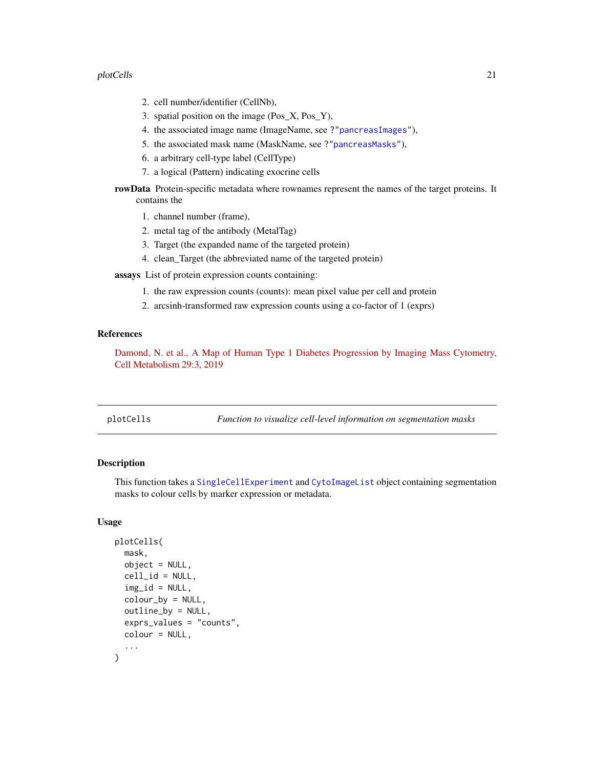#### <span id="page-20-0"></span>plotCells 21

- 2. cell number/identifier (CellNb),
- 3. spatial position on the image (Pos\_X, Pos\_Y),
- 4. the associated image name (ImageName, see ?["pancreasImages"](#page-18-1)),
- 5. the associated mask name (MaskName, see ?["pancreasMasks"](#page-19-1)),
- 6. a arbitrary cell-type label (CellType)
- 7. a logical (Pattern) indicating exocrine cells

rowData Protein-specific metadata where rownames represent the names of the target proteins. It contains the

- 1. channel number (frame),
- 2. metal tag of the antibody (MetalTag)
- 3. Target (the expanded name of the targeted protein)
- 4. clean\_Target (the abbreviated name of the targeted protein)
- assays List of protein expression counts containing:
	- 1. the raw expression counts (counts): mean pixel value per cell and protein
	- 2. arcsinh-transformed raw expression counts using a co-factor of 1 (exprs)

## References

[Damond, N. et al., A Map of Human Type 1 Diabetes Progression by Imaging Mass Cytometry,](https://www.sciencedirect.com/science/article/pii/S1550413118306910) [Cell Metabolism 29:3, 2019](https://www.sciencedirect.com/science/article/pii/S1550413118306910)

<span id="page-20-1"></span>

## Description

This function takes a [SingleCellExperiment](#page-0-0) and [CytoImageList](#page-3-1) object containing segmentation masks to colour cells by marker expression or metadata.

#### Usage

```
plotCells(
  mask,
  object = NULL,cell_id = NULL,img\_id = NULL,colour_by = NULL,
  outline_by = NULL,
  exprs_values = "counts",
  colour = NULL,
  ...
)
```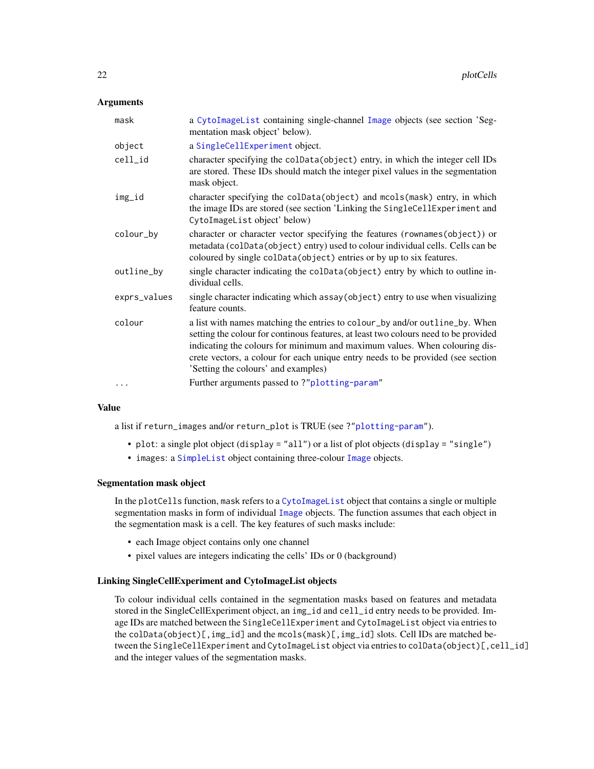#### <span id="page-21-0"></span>**Arguments**

| mask         | a CytoImageList containing single-channel Image objects (see section 'Seg-<br>mentation mask object' below).                                                                                                                                                                                                                                                               |
|--------------|----------------------------------------------------------------------------------------------------------------------------------------------------------------------------------------------------------------------------------------------------------------------------------------------------------------------------------------------------------------------------|
| object       | a SingleCellExperiment object.                                                                                                                                                                                                                                                                                                                                             |
| cell_id      | character specifying the colData(object) entry, in which the integer cell IDs<br>are stored. These IDs should match the integer pixel values in the segmentation<br>mask object.                                                                                                                                                                                           |
| img_id       | character specifying the colData(object) and mcols(mask) entry, in which<br>the image IDs are stored (see section 'Linking the SingleCellExperiment and<br>CytoImageList object' below)                                                                                                                                                                                    |
| colour_by    | character or character vector specifying the features (rownames(object)) or<br>metadata (colData(object) entry) used to colour individual cells. Cells can be<br>coloured by single colData(object) entries or by up to six features.                                                                                                                                      |
| outline_by   | single character indicating the colData(object) entry by which to outline in-<br>dividual cells.                                                                                                                                                                                                                                                                           |
| exprs_values | single character indicating which assay (object) entry to use when visualizing<br>feature counts.                                                                                                                                                                                                                                                                          |
| colour       | a list with names matching the entries to colour_by and/or outline_by. When<br>setting the colour for continous features, at least two colours need to be provided<br>indicating the colours for minimum and maximum values. When colouring dis-<br>crete vectors, a colour for each unique entry needs to be provided (see section<br>'Setting the colours' and examples) |
|              | Further arguments passed to?"plotting-param"                                                                                                                                                                                                                                                                                                                               |

## Value

a list if return\_images and/or return\_plot is TRUE (see ?["plotting-param"](#page-26-1)).

- plot: a single plot object (display = "all") or a list of plot objects (display = "single")
- images: a [SimpleList](#page-0-0) object containing three-colour [Image](#page-0-0) objects.

## Segmentation mask object

In the plotCells function, mask refers to a [CytoImageList](#page-3-1) object that contains a single or multiple segmentation masks in form of individual [Image](#page-0-0) objects. The function assumes that each object in the segmentation mask is a cell. The key features of such masks include:

- each Image object contains only one channel
- pixel values are integers indicating the cells' IDs or 0 (background)

#### Linking SingleCellExperiment and CytoImageList objects

To colour individual cells contained in the segmentation masks based on features and metadata stored in the SingleCellExperiment object, an img\_id and cell\_id entry needs to be provided. Image IDs are matched between the SingleCellExperiment and CytoImageList object via entries to the colData(object)[,img\_id] and the mcols(mask)[,img\_id] slots. Cell IDs are matched between the SingleCellExperiment and CytoImageList object via entries to colData(object)[, cell\_id] and the integer values of the segmentation masks.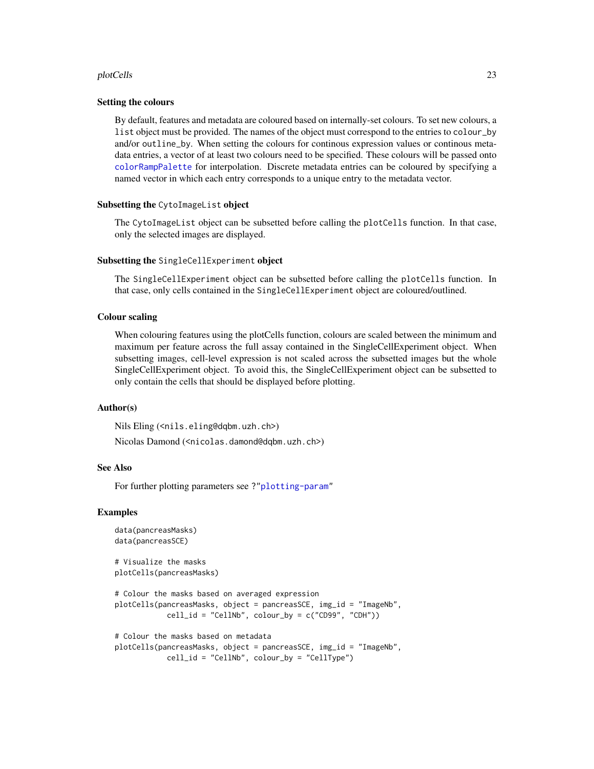#### <span id="page-22-0"></span>plotCells 23

#### Setting the colours

By default, features and metadata are coloured based on internally-set colours. To set new colours, a list object must be provided. The names of the object must correspond to the entries to colour\_by and/or outline\_by. When setting the colours for continous expression values or continous metadata entries, a vector of at least two colours need to be specified. These colours will be passed onto [colorRampPalette](#page-0-0) for interpolation. Discrete metadata entries can be coloured by specifying a named vector in which each entry corresponds to a unique entry to the metadata vector.

#### Subsetting the CytoImageList object

The CytoImageList object can be subsetted before calling the plotCells function. In that case, only the selected images are displayed.

#### Subsetting the SingleCellExperiment object

The SingleCellExperiment object can be subsetted before calling the plotCells function. In that case, only cells contained in the SingleCellExperiment object are coloured/outlined.

#### Colour scaling

When colouring features using the plotCells function, colours are scaled between the minimum and maximum per feature across the full assay contained in the SingleCellExperiment object. When subsetting images, cell-level expression is not scaled across the subsetted images but the whole SingleCellExperiment object. To avoid this, the SingleCellExperiment object can be subsetted to only contain the cells that should be displayed before plotting.

## Author(s)

Nils Eling (<nils.eling@dqbm.uzh.ch>)

Nicolas Damond (<nicolas.damond@dqbm.uzh.ch>)

## See Also

For further plotting parameters see ?["plotting-param"](#page-26-1)

#### Examples

```
data(pancreasMasks)
data(pancreasSCE)
# Visualize the masks
plotCells(pancreasMasks)
# Colour the masks based on averaged expression
plotCells(pancreasMasks, object = pancreasSCE, img_id = "ImageNb",
            cell_id = "CellNb", colour_by = c("CD99", "CDH"))
# Colour the masks based on metadata
plotCells(pancreasMasks, object = pancreasSCE, img_id = "ImageNb",
            cell_id = "CellNb", colour_by = "CellType")
```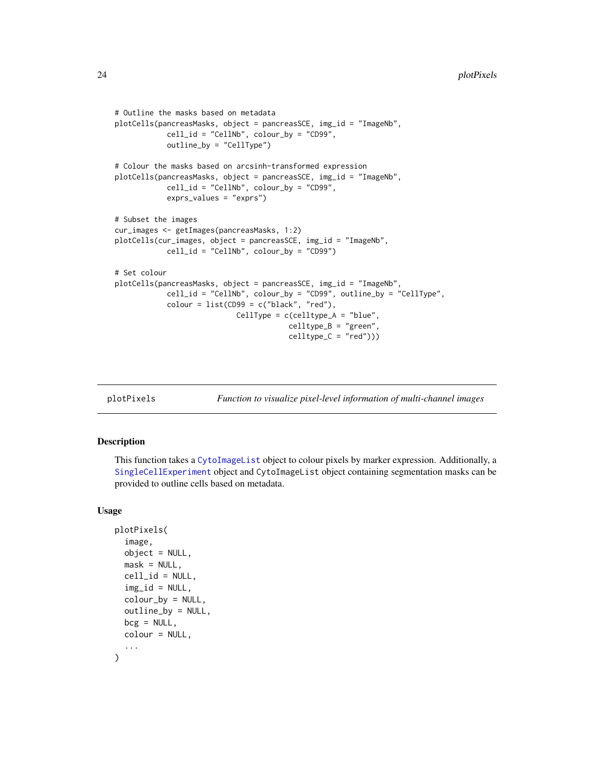```
# Outline the masks based on metadata
plotCells(pancreasMasks, object = pancreasSCE, img_id = "ImageNb",
            cell_id = "CellNb", colour_by = "CD99",
            outline_by = "CellType")
# Colour the masks based on arcsinh-transformed expression
plotCells(pancreasMasks, object = pancreasSCE, img_id = "ImageNb",
            cell_id = "CellNb", colour_by = "CD99",
            exprs_values = "exprs")
# Subset the images
cur_images <- getImages(pancreasMasks, 1:2)
plotCells(cur_images, object = pancreasSCE, img_id = "ImageNb",
            cell_id = "CellNb", colour_by = "CD99")
# Set colour
plotCells(pancreasMasks, object = pancreasSCE, img_id = "ImageNb",
            cell_id = "CellNb", colour_by = "CD99", outline_by = "CellType",
            color = list(CD99 = c("black", "red"),CellType = c(celltype_A = "blue",
                                        celltype_B = "green",
                                        celltype_C = "red"))
```
<span id="page-23-1"></span>

plotPixels *Function to visualize pixel-level information of multi-channel images*

#### Description

This function takes a [CytoImageList](#page-3-1) object to colour pixels by marker expression. Additionally, a [SingleCellExperiment](#page-0-0) object and CytoImageList object containing segmentation masks can be provided to outline cells based on metadata.

#### Usage

```
plotPixels(
  image,
  object = NULL,mask = NULL,cell_id = NULL,img_id = NULL,color_by = NULL,outline_by = NULL,
 bcg = NULL,
 colour = NULL,
  ...
)
```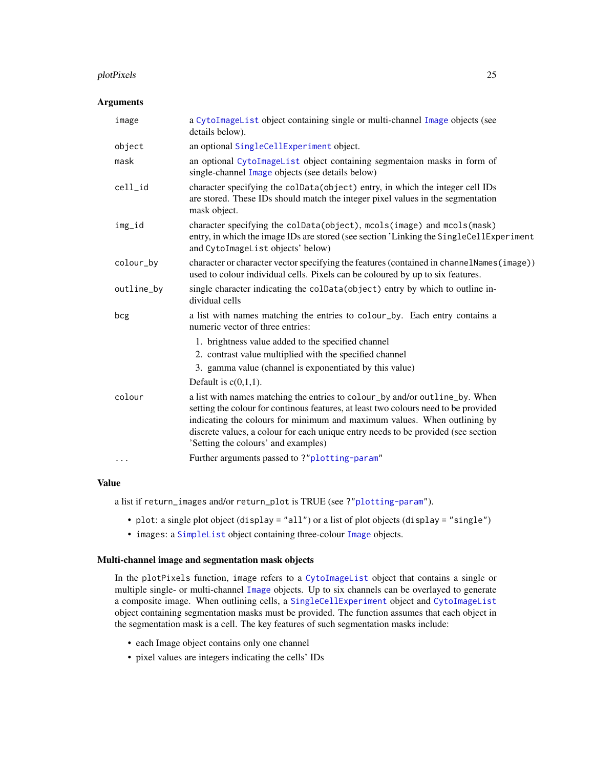#### <span id="page-24-0"></span>plotPixels 25

## Arguments

| image      | a CytoImageList object containing single or multi-channel Image objects (see<br>details below).                                                                                                                                                                                                                                                                            |
|------------|----------------------------------------------------------------------------------------------------------------------------------------------------------------------------------------------------------------------------------------------------------------------------------------------------------------------------------------------------------------------------|
| object     | an optional SingleCellExperiment object.                                                                                                                                                                                                                                                                                                                                   |
| mask       | an optional CytoImageList object containing segmentaion masks in form of<br>single-channel Image objects (see details below)                                                                                                                                                                                                                                               |
| cell_id    | character specifying the colData(object) entry, in which the integer cell IDs<br>are stored. These IDs should match the integer pixel values in the segmentation<br>mask object.                                                                                                                                                                                           |
| img_id     | character specifying the colData(object), mcols(image) and mcols(mask)<br>entry, in which the image IDs are stored (see section 'Linking the SingleCellExperiment<br>and CytoImageList objects' below)                                                                                                                                                                     |
| colour_by  | character or character vector specifying the features (contained in channelNames (image))<br>used to colour individual cells. Pixels can be coloured by up to six features.                                                                                                                                                                                                |
| outline_by | single character indicating the colData(object) entry by which to outline in-<br>dividual cells                                                                                                                                                                                                                                                                            |
| bcg        | a list with names matching the entries to colour_by. Each entry contains a<br>numeric vector of three entries:                                                                                                                                                                                                                                                             |
|            | 1. brightness value added to the specified channel                                                                                                                                                                                                                                                                                                                         |
|            | 2. contrast value multiplied with the specified channel                                                                                                                                                                                                                                                                                                                    |
|            | 3. gamma value (channel is exponentiated by this value)                                                                                                                                                                                                                                                                                                                    |
|            | Default is $c(0,1,1)$ .                                                                                                                                                                                                                                                                                                                                                    |
| colour     | a list with names matching the entries to colour_by and/or outline_by. When<br>setting the colour for continous features, at least two colours need to be provided<br>indicating the colours for minimum and maximum values. When outlining by<br>discrete values, a colour for each unique entry needs to be provided (see section<br>'Setting the colours' and examples) |
| $\cdots$   | Further arguments passed to?"plotting-param"                                                                                                                                                                                                                                                                                                                               |

## Value

a list if return\_images and/or return\_plot is TRUE (see ?["plotting-param"](#page-26-1)).

- plot: a single plot object (display = "all") or a list of plot objects (display = "single")
- images: a [SimpleList](#page-0-0) object containing three-colour [Image](#page-0-0) objects.

## Multi-channel image and segmentation mask objects

In the plotPixels function, image refers to a [CytoImageList](#page-3-1) object that contains a single or multiple single- or multi-channel [Image](#page-0-0) objects. Up to six channels can be overlayed to generate a composite image. When outlining cells, a [SingleCellExperiment](#page-0-0) object and [CytoImageList](#page-3-1) object containing segmentation masks must be provided. The function assumes that each object in the segmentation mask is a cell. The key features of such segmentation masks include:

- each Image object contains only one channel
- pixel values are integers indicating the cells' IDs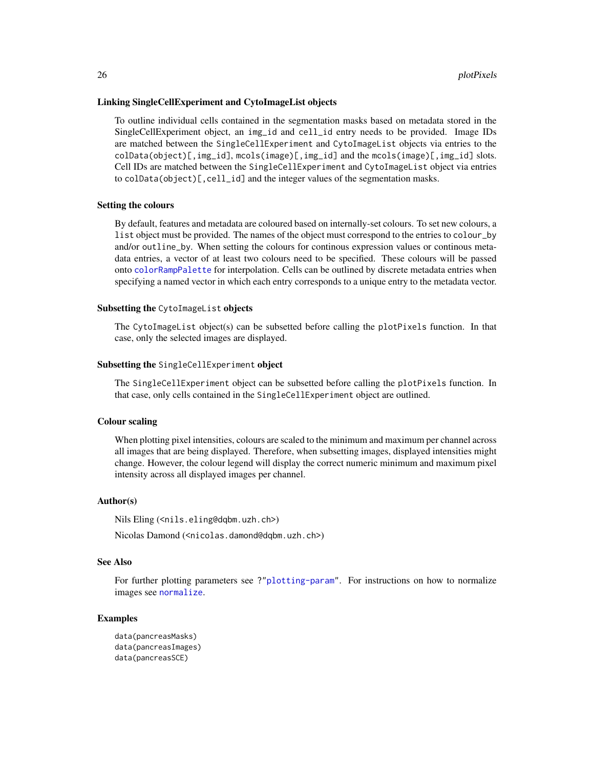#### <span id="page-25-0"></span>Linking SingleCellExperiment and CytoImageList objects

To outline individual cells contained in the segmentation masks based on metadata stored in the SingleCellExperiment object, an img\_id and cell\_id entry needs to be provided. Image IDs are matched between the SingleCellExperiment and CytoImageList objects via entries to the colData(object)[,img\_id], mcols(image)[,img\_id] and the mcols(image)[,img\_id] slots. Cell IDs are matched between the SingleCellExperiment and CytoImageList object via entries to colData(object)[,cell\_id] and the integer values of the segmentation masks.

#### Setting the colours

By default, features and metadata are coloured based on internally-set colours. To set new colours, a list object must be provided. The names of the object must correspond to the entries to colour\_by and/or outline\_by. When setting the colours for continous expression values or continous metadata entries, a vector of at least two colours need to be specified. These colours will be passed onto [colorRampPalette](#page-0-0) for interpolation. Cells can be outlined by discrete metadata entries when specifying a named vector in which each entry corresponds to a unique entry to the metadata vector.

#### Subsetting the CytoImageList objects

The CytoImageList object(s) can be subsetted before calling the plotPixels function. In that case, only the selected images are displayed.

#### Subsetting the SingleCellExperiment object

The SingleCellExperiment object can be subsetted before calling the plotPixels function. In that case, only cells contained in the SingleCellExperiment object are outlined.

#### Colour scaling

When plotting pixel intensities, colours are scaled to the minimum and maximum per channel across all images that are being displayed. Therefore, when subsetting images, displayed intensities might change. However, the colour legend will display the correct numeric minimum and maximum pixel intensity across all displayed images per channel.

#### Author(s)

Nils Eling (<nils.eling@dqbm.uzh.ch>)

Nicolas Damond (<nicolas.damond@dqbm.uzh.ch>)

## See Also

For further plotting parameters see ?["plotting-param"](#page-26-1). For instructions on how to normalize images see [normalize](#page-5-1).

#### Examples

```
data(pancreasMasks)
data(pancreasImages)
data(pancreasSCE)
```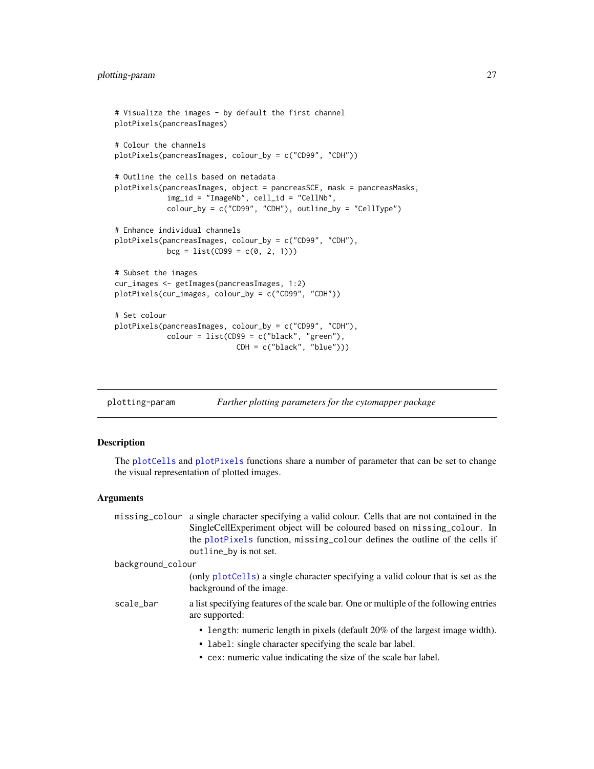```
# Visualize the images - by default the first channel
plotPixels(pancreasImages)
# Colour the channels
plotPixels(pancreasImages, colour_by = c("CD99", "CDH"))
# Outline the cells based on metadata
plotPixels(pancreasImages, object = pancreasSCE, mask = pancreasMasks,
            img_id = "ImageNb", cell_id = "CellNb",
            colour_by = c("CD99", "CDH"), outline_by = "CellType")
# Enhance individual channels
plotPixels(pancreasImages, colour_by = c("CD99", "CDH"),
            bcg = list(CD99 = c(0, 2, 1)))# Subset the images
cur_images <- getImages(pancreasImages, 1:2)
plotPixels(cur_images, colour_by = c("CD99", "CDH"))
# Set colour
plotPixels(pancreasImages, colour_by = c("CD99", "CDH"),
            colour = list(CD99 = c("black", "green"),
                            CDH = c("black", "blue")))
```
<span id="page-26-1"></span>plotting-param *Further plotting parameters for the cytomapper package*

## Description

The [plotCells](#page-20-1) and [plotPixels](#page-23-1) functions share a number of parameter that can be set to change the visual representation of plotted images.

## Arguments

|                   | missing colour a single character specifying a valid colour. Cells that are not contained in the<br>SingleCellExperiment object will be coloured based on missing_colour. In |
|-------------------|------------------------------------------------------------------------------------------------------------------------------------------------------------------------------|
|                   | the plotPixels function, missing_colour defines the outline of the cells if<br>outline_by is not set.                                                                        |
| background_colour |                                                                                                                                                                              |
|                   | (only plot Cells) a single character specifying a valid colour that is set as the<br>background of the image.                                                                |
| scale_bar         | a list specifying features of the scale bar. One or multiple of the following entries<br>are supported:                                                                      |
|                   | • length: numeric length in pixels (default 20% of the largest image width).                                                                                                 |
|                   | • label: single character specifying the scale bar label.                                                                                                                    |
|                   | • cex: numeric value indicating the size of the scale bar label.                                                                                                             |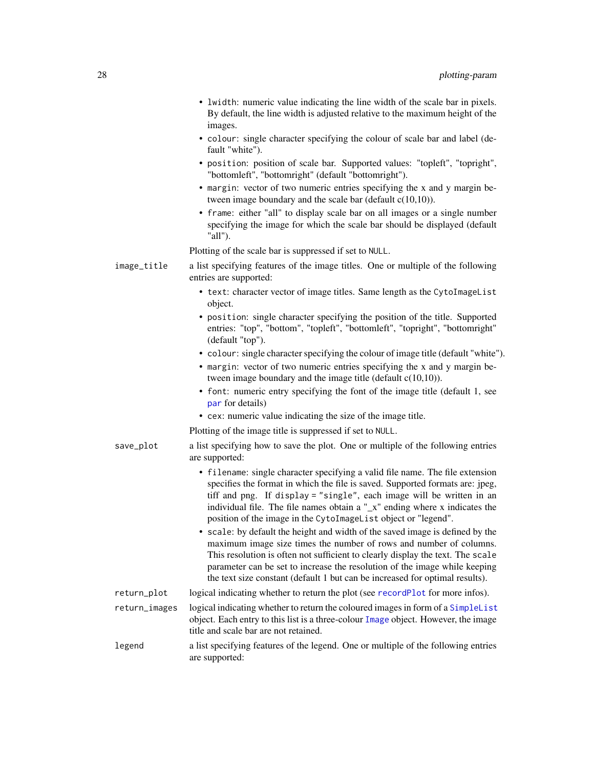<span id="page-27-0"></span>

|               | • lwidth: numeric value indicating the line width of the scale bar in pixels.<br>By default, the line width is adjusted relative to the maximum height of the<br>images.                                                                                                                                                                                                                                                                                                                                                                                                                                                                   |
|---------------|--------------------------------------------------------------------------------------------------------------------------------------------------------------------------------------------------------------------------------------------------------------------------------------------------------------------------------------------------------------------------------------------------------------------------------------------------------------------------------------------------------------------------------------------------------------------------------------------------------------------------------------------|
|               | • colour: single character specifying the colour of scale bar and label (de-<br>fault "white").                                                                                                                                                                                                                                                                                                                                                                                                                                                                                                                                            |
|               | · position: position of scale bar. Supported values: "topleft", "topright",<br>"bottomleft", "bottomright" (default "bottomright").                                                                                                                                                                                                                                                                                                                                                                                                                                                                                                        |
|               | • margin: vector of two numeric entries specifying the x and y margin be-<br>tween image boundary and the scale bar (default $c(10,10)$ ).                                                                                                                                                                                                                                                                                                                                                                                                                                                                                                 |
|               | • frame: either "all" to display scale bar on all images or a single number<br>specifying the image for which the scale bar should be displayed (default<br>"all").                                                                                                                                                                                                                                                                                                                                                                                                                                                                        |
|               | Plotting of the scale bar is suppressed if set to NULL.                                                                                                                                                                                                                                                                                                                                                                                                                                                                                                                                                                                    |
| image_title   | a list specifying features of the image titles. One or multiple of the following<br>entries are supported:                                                                                                                                                                                                                                                                                                                                                                                                                                                                                                                                 |
|               | • text: character vector of image titles. Same length as the CytoImageList<br>object.                                                                                                                                                                                                                                                                                                                                                                                                                                                                                                                                                      |
|               | • position: single character specifying the position of the title. Supported<br>entries: "top", "bottom", "topleft", "bottomleft", "topright", "bottomright"<br>(default "top").                                                                                                                                                                                                                                                                                                                                                                                                                                                           |
|               | • colour: single character specifying the colour of image title (default "white").                                                                                                                                                                                                                                                                                                                                                                                                                                                                                                                                                         |
|               | • margin: vector of two numeric entries specifying the x and y margin be-<br>tween image boundary and the image title (default $c(10,10)$ ).                                                                                                                                                                                                                                                                                                                                                                                                                                                                                               |
|               | • font: numeric entry specifying the font of the image title (default 1, see<br>par for details)                                                                                                                                                                                                                                                                                                                                                                                                                                                                                                                                           |
|               | • cex: numeric value indicating the size of the image title.                                                                                                                                                                                                                                                                                                                                                                                                                                                                                                                                                                               |
|               | Plotting of the image title is suppressed if set to NULL.                                                                                                                                                                                                                                                                                                                                                                                                                                                                                                                                                                                  |
| save_plot     | a list specifying how to save the plot. One or multiple of the following entries<br>are supported:                                                                                                                                                                                                                                                                                                                                                                                                                                                                                                                                         |
|               | • filename: single character specifying a valid file name. The file extension<br>specifies the format in which the file is saved. Supported formats are: jpeg,<br>tiff and png. If display = "single", each image will be written in an<br>individual file. The file names obtain a " $\mathbf{x}$ " ending where x indicates the<br>position of the image in the CytoImageList object or "legend".<br>scale: by default the height and width of the saved image is defined by the<br>maximum image size times the number of rows and number of columns.<br>This resolution is often not sufficient to clearly display the text. The scale |
|               | parameter can be set to increase the resolution of the image while keeping<br>the text size constant (default 1 but can be increased for optimal results).                                                                                                                                                                                                                                                                                                                                                                                                                                                                                 |
| return_plot   | logical indicating whether to return the plot (see recordPlot for more infos).                                                                                                                                                                                                                                                                                                                                                                                                                                                                                                                                                             |
| return_images | logical indicating whether to return the coloured images in form of a SimpleList<br>object. Each entry to this list is a three-colour Image object. However, the image<br>title and scale bar are not retained.                                                                                                                                                                                                                                                                                                                                                                                                                            |
| legend        | a list specifying features of the legend. One or multiple of the following entries<br>are supported:                                                                                                                                                                                                                                                                                                                                                                                                                                                                                                                                       |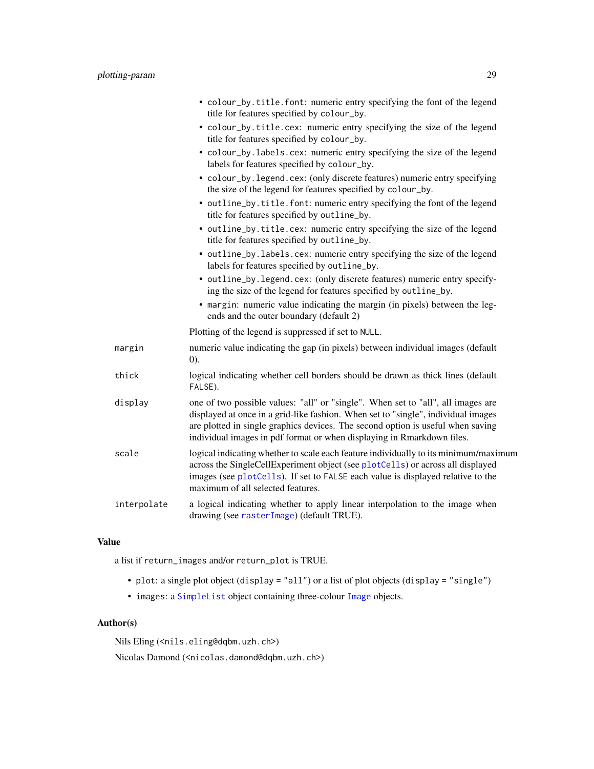<span id="page-28-0"></span>

|             | • colour_by.title.font: numeric entry specifying the font of the legend<br>title for features specified by colour_by.                                                                                                                                                                                                              |
|-------------|------------------------------------------------------------------------------------------------------------------------------------------------------------------------------------------------------------------------------------------------------------------------------------------------------------------------------------|
|             | · colour_by.title.cex: numeric entry specifying the size of the legend<br>title for features specified by colour_by.                                                                                                                                                                                                               |
|             | · colour_by.labels.cex: numeric entry specifying the size of the legend<br>labels for features specified by colour_by.                                                                                                                                                                                                             |
|             | • colour_by.legend.cex: (only discrete features) numeric entry specifying<br>the size of the legend for features specified by colour_by.                                                                                                                                                                                           |
|             | • outline_by.title.font: numeric entry specifying the font of the legend<br>title for features specified by outline_by.                                                                                                                                                                                                            |
|             | • outline_by.title.cex: numeric entry specifying the size of the legend<br>title for features specified by outline_by.                                                                                                                                                                                                             |
|             | • outline_by.labels.cex: numeric entry specifying the size of the legend<br>labels for features specified by outline_by.                                                                                                                                                                                                           |
|             | • outline_by.legend.cex: (only discrete features) numeric entry specify-<br>ing the size of the legend for features specified by outline_by.                                                                                                                                                                                       |
|             | • margin: numeric value indicating the margin (in pixels) between the leg-<br>ends and the outer boundary (default 2)                                                                                                                                                                                                              |
|             | Plotting of the legend is suppressed if set to NULL.                                                                                                                                                                                                                                                                               |
| margin      | numeric value indicating the gap (in pixels) between individual images (default<br>(0).                                                                                                                                                                                                                                            |
| thick       | logical indicating whether cell borders should be drawn as thick lines (default<br>FALSE).                                                                                                                                                                                                                                         |
| display     | one of two possible values: "all" or "single". When set to "all", all images are<br>displayed at once in a grid-like fashion. When set to "single", individual images<br>are plotted in single graphics devices. The second option is useful when saving<br>individual images in pdf format or when displaying in Rmarkdown files. |
| scale       | logical indicating whether to scale each feature individually to its minimum/maximum<br>across the SingleCellExperiment object (see plotCells) or across all displayed<br>images (see plotCells). If set to FALSE each value is displayed relative to the<br>maximum of all selected features.                                     |
| interpolate | a logical indicating whether to apply linear interpolation to the image when<br>drawing (see rasterImage) (default TRUE).                                                                                                                                                                                                          |

## Value

a list if return\_images and/or return\_plot is TRUE.

- plot: a single plot object (display = "all") or a list of plot objects (display = "single")
- images: a [SimpleList](#page-0-0) object containing three-colour [Image](#page-0-0) objects.

## Author(s)

Nils Eling (<nils.eling@dqbm.uzh.ch>)

Nicolas Damond (<nicolas.damond@dqbm.uzh.ch>)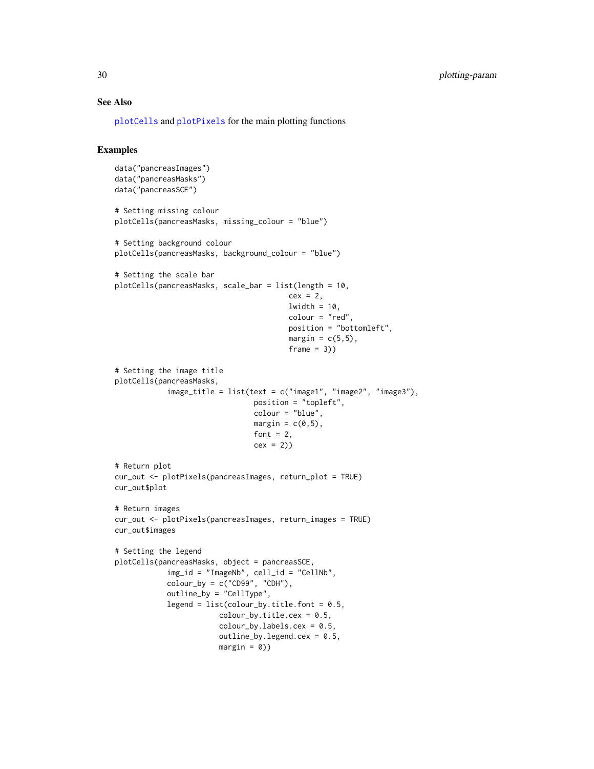## See Also

[plotCells](#page-20-1) and [plotPixels](#page-23-1) for the main plotting functions

## Examples

```
data("pancreasImages")
data("pancreasMasks")
data("pancreasSCE")
# Setting missing colour
plotCells(pancreasMasks, missing_colour = "blue")
# Setting background colour
plotCells(pancreasMasks, background_colour = "blue")
# Setting the scale bar
plotCells(pancreasMasks, scale_bar = list(length = 10,
                                        cex = 2,
                                        lwidth = 10,colour = "red",
                                        position = "bottomleft",
                                        margin = c(5,5),
                                        frame = 3)# Setting the image title
plotCells(pancreasMasks,
            image_title = list(text = c("image1", "image2", "image3"),
                                position = "topleft",
                                colour = "blue",
                                margin = c(\emptyset, 5),
                                font = 2,
                                cex = 2)# Return plot
cur_out <- plotPixels(pancreasImages, return_plot = TRUE)
cur_out$plot
# Return images
cur_out <- plotPixels(pancreasImages, return_images = TRUE)
cur_out$images
# Setting the legend
plotCells(pancreasMasks, object = pancreasSCE,
            img_id = "ImageNb", cell_id = "CellNb",
            color_by = c("CD99", "CDH"),
            outline_by = "CellType",
            legend = list(colour_by.title.font = 0.5,color_by.title.cex = 0.5,
                        colour_by.labels.cex = 0.5,
                        outline_by.legend.cex = 0.5,
                        margin = 0)
```
<span id="page-29-0"></span>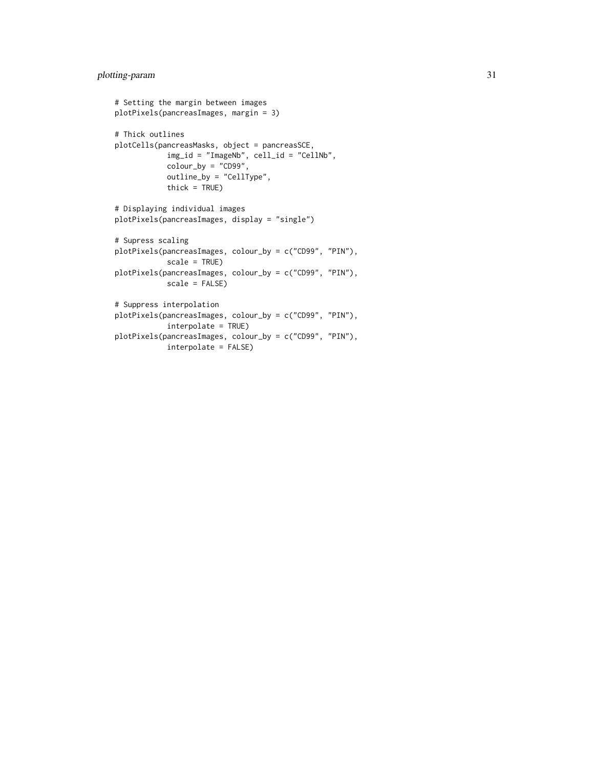```
# Setting the margin between images
plotPixels(pancreasImages, margin = 3)
# Thick outlines
plotCells(pancreasMasks, object = pancreasSCE,
           img_id = "ImageNb", cell_id = "CellNb",
            color_by = "CD99",outline_by = "CellType",
            thick = TRUE)
# Displaying individual images
plotPixels(pancreasImages, display = "single")
# Supress scaling
plotPixels(pancreasImages, colour_by = c("CD99", "PIN"),
            scale = TRUE)
plotPixels(pancreasImages, colour_by = c("CD99", "PIN"),
           scale = FALSE)
# Suppress interpolation
plotPixels(pancreasImages, colour_by = c("CD99", "PIN"),
            interpolate = TRUE)
plotPixels(pancreasImages, colour_by = c("CD99", "PIN"),
            interpolate = FALSE)
```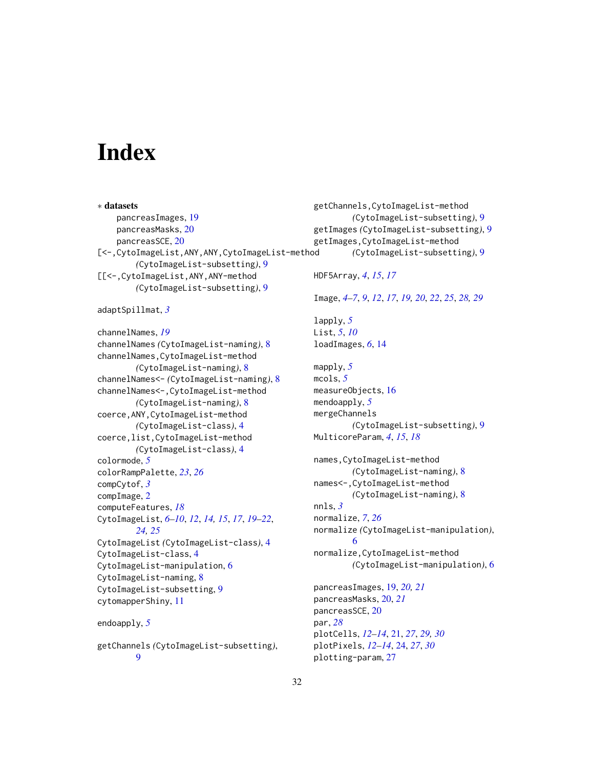# <span id="page-31-0"></span>**Index**

∗ datasets pancreasImages, [19](#page-18-0) pancreasMasks, [20](#page-19-0) pancreasSCE, [20](#page-19-0) [<-,CytoImageList,ANY,ANY,CytoImageList-method *(*CytoImageList-subsetting*)*, [9](#page-8-0) [[<-,CytoImageList,ANY,ANY-method *(*CytoImageList-subsetting*)*, [9](#page-8-0) adaptSpillmat, *[3](#page-2-0)* channelNames, *[19](#page-18-0)* channelNames *(*CytoImageList-naming*)*, [8](#page-7-0) channelNames,CytoImageList-method *(*CytoImageList-naming*)*, [8](#page-7-0) channelNames<- *(*CytoImageList-naming*)*, [8](#page-7-0) channelNames<-,CytoImageList-method *(*CytoImageList-naming*)*, [8](#page-7-0) coerce,ANY,CytoImageList-method *(*CytoImageList-class*)*, [4](#page-3-0) coerce,list,CytoImageList-method *(*CytoImageList-class*)*, [4](#page-3-0) colormode, *[5](#page-4-0)* colorRampPalette, *[23](#page-22-0)*, *[26](#page-25-0)* compCytof, *[3](#page-2-0)* compImage, [2](#page-1-0) computeFeatures, *[18](#page-17-0)* CytoImageList, *[6](#page-5-0)[–10](#page-9-0)*, *[12](#page-11-0)*, *[14,](#page-13-0) [15](#page-14-0)*, *[17](#page-16-0)*, *[19–](#page-18-0)[22](#page-21-0)*, *[24,](#page-23-0) [25](#page-24-0)* CytoImageList *(*CytoImageList-class*)*, [4](#page-3-0) CytoImageList-class, [4](#page-3-0) CytoImageList-manipulation, [6](#page-5-0) CytoImageList-naming, [8](#page-7-0) CytoImageList-subsetting, [9](#page-8-0) cytomapperShiny, [11](#page-10-0) endoapply, *[5](#page-4-0)* getChannels *(*CytoImageList-subsetting*)*, [9](#page-8-0) getChannels,CytoImageList-method *(*CytoImageList-subsetting*)*, [9](#page-8-0) getImages *(*CytoImageList-subsetting*)*, [9](#page-8-0) getImages,CytoImageList-method *(*CytoImageList-subsetting*)*, [9](#page-8-0) HDF5Array, *[4](#page-3-0)*, *[15](#page-14-0)*, *[17](#page-16-0)* Image, *[4–](#page-3-0)[7](#page-6-0)*, *[9](#page-8-0)*, *[12](#page-11-0)*, *[17](#page-16-0)*, *[19,](#page-18-0) [20](#page-19-0)*, *[22](#page-21-0)*, *[25](#page-24-0)*, *[28,](#page-27-0) [29](#page-28-0)* lapply, *[5](#page-4-0)* List, *[5](#page-4-0)*, *[10](#page-9-0)* loadImages, *[6](#page-5-0)*, [14](#page-13-0) mapply, *[5](#page-4-0)* mcols, *[5](#page-4-0)* measureObjects, [16](#page-15-0) mendoapply, *[5](#page-4-0)* mergeChannels *(*CytoImageList-subsetting*)*, [9](#page-8-0) MulticoreParam, *[4](#page-3-0)*, *[15](#page-14-0)*, *[18](#page-17-0)* names,CytoImageList-method *(*CytoImageList-naming*)*, [8](#page-7-0) names<-,CytoImageList-method *(*CytoImageList-naming*)*, [8](#page-7-0) nnls, *[3](#page-2-0)* normalize, *[7](#page-6-0)*, *[26](#page-25-0)* normalize *(*CytoImageList-manipulation*)*, [6](#page-5-0) normalize,CytoImageList-method *(*CytoImageList-manipulation*)*, [6](#page-5-0) pancreasImages, [19,](#page-18-0) *[20,](#page-19-0) [21](#page-20-0)* pancreasMasks, [20,](#page-19-0) *[21](#page-20-0)* pancreasSCE, [20](#page-19-0) par, *[28](#page-27-0)* plotCells, *[12](#page-11-0)[–14](#page-13-0)*, [21,](#page-20-0) *[27](#page-26-0)*, *[29,](#page-28-0) [30](#page-29-0)* plotPixels, *[12](#page-11-0)[–14](#page-13-0)*, [24,](#page-23-0) *[27](#page-26-0)*, *[30](#page-29-0)* plotting-param, [27](#page-26-0)